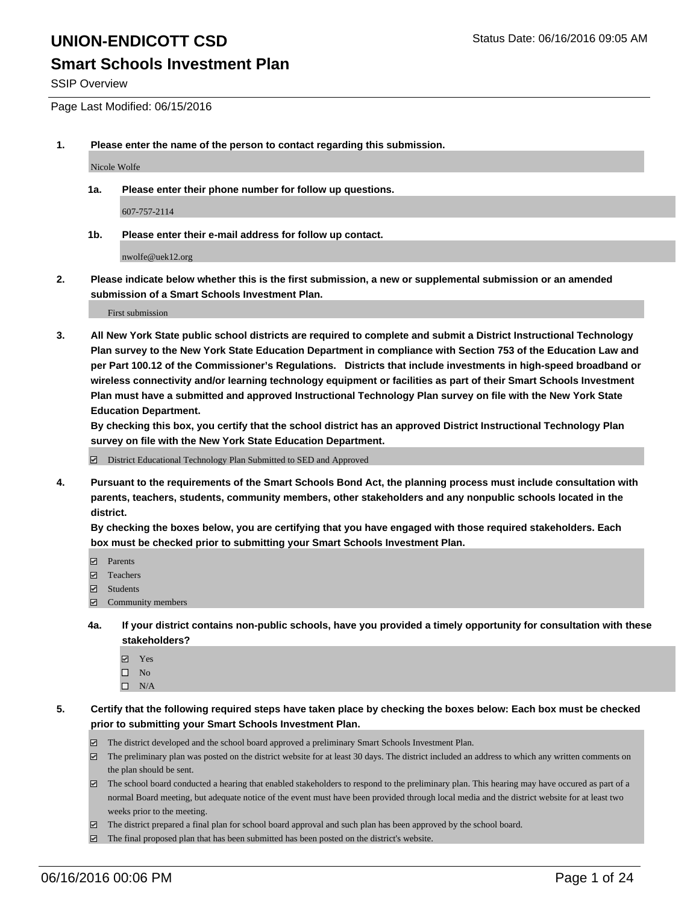#### **Smart Schools Investment Plan**

SSIP Overview

Page Last Modified: 06/15/2016

**1. Please enter the name of the person to contact regarding this submission.**

Nicole Wolfe

**1a. Please enter their phone number for follow up questions.**

607-757-2114

**1b. Please enter their e-mail address for follow up contact.**

nwolfe@uek12.org

**2. Please indicate below whether this is the first submission, a new or supplemental submission or an amended submission of a Smart Schools Investment Plan.**

First submission

**3. All New York State public school districts are required to complete and submit a District Instructional Technology Plan survey to the New York State Education Department in compliance with Section 753 of the Education Law and per Part 100.12 of the Commissioner's Regulations. Districts that include investments in high-speed broadband or wireless connectivity and/or learning technology equipment or facilities as part of their Smart Schools Investment Plan must have a submitted and approved Instructional Technology Plan survey on file with the New York State Education Department.** 

**By checking this box, you certify that the school district has an approved District Instructional Technology Plan survey on file with the New York State Education Department.**

District Educational Technology Plan Submitted to SED and Approved

**4. Pursuant to the requirements of the Smart Schools Bond Act, the planning process must include consultation with parents, teachers, students, community members, other stakeholders and any nonpublic schools located in the district.** 

**By checking the boxes below, you are certifying that you have engaged with those required stakeholders. Each box must be checked prior to submitting your Smart Schools Investment Plan.**

- **Parents**
- □ Teachers
- $\blacksquare$  Students
- Community members
- **4a. If your district contains non-public schools, have you provided a timely opportunity for consultation with these stakeholders?**
	- Yes  $\square$  No
	- $\square$  N/A
- **5. Certify that the following required steps have taken place by checking the boxes below: Each box must be checked prior to submitting your Smart Schools Investment Plan.**
	- The district developed and the school board approved a preliminary Smart Schools Investment Plan.
	- $\Box$  The preliminary plan was posted on the district website for at least 30 days. The district included an address to which any written comments on the plan should be sent.
	- $\Box$  The school board conducted a hearing that enabled stakeholders to respond to the preliminary plan. This hearing may have occured as part of a normal Board meeting, but adequate notice of the event must have been provided through local media and the district website for at least two weeks prior to the meeting.
	- The district prepared a final plan for school board approval and such plan has been approved by the school board.
	- $\boxdot$  The final proposed plan that has been submitted has been posted on the district's website.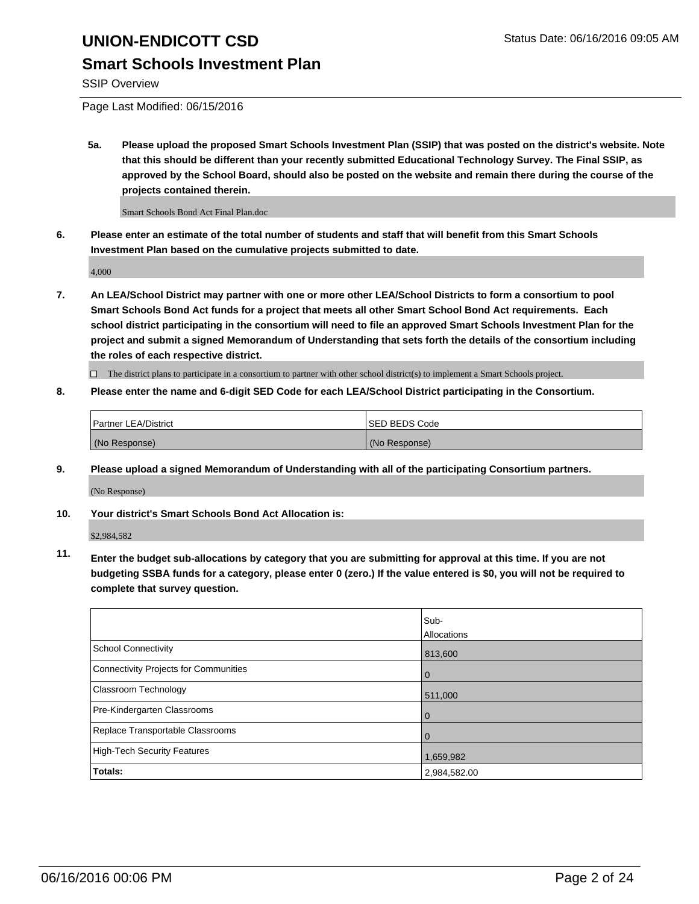### **Smart Schools Investment Plan**

SSIP Overview

Page Last Modified: 06/15/2016

**5a. Please upload the proposed Smart Schools Investment Plan (SSIP) that was posted on the district's website. Note that this should be different than your recently submitted Educational Technology Survey. The Final SSIP, as approved by the School Board, should also be posted on the website and remain there during the course of the projects contained therein.**

Smart Schools Bond Act Final Plan.doc

**6. Please enter an estimate of the total number of students and staff that will benefit from this Smart Schools Investment Plan based on the cumulative projects submitted to date.**

4,000

**7. An LEA/School District may partner with one or more other LEA/School Districts to form a consortium to pool Smart Schools Bond Act funds for a project that meets all other Smart School Bond Act requirements. Each school district participating in the consortium will need to file an approved Smart Schools Investment Plan for the project and submit a signed Memorandum of Understanding that sets forth the details of the consortium including the roles of each respective district.**

 $\Box$  The district plans to participate in a consortium to partner with other school district(s) to implement a Smart Schools project.

**8. Please enter the name and 6-digit SED Code for each LEA/School District participating in the Consortium.**

| <b>Partner LEA/District</b> | ISED BEDS Code |
|-----------------------------|----------------|
| (No Response)               | (No Response)  |

**9. Please upload a signed Memorandum of Understanding with all of the participating Consortium partners.** (No Response)

**10. Your district's Smart Schools Bond Act Allocation is:**

\$2,984,582

**11. Enter the budget sub-allocations by category that you are submitting for approval at this time. If you are not budgeting SSBA funds for a category, please enter 0 (zero.) If the value entered is \$0, you will not be required to complete that survey question.**

|                                       | Sub-         |
|---------------------------------------|--------------|
|                                       | Allocations  |
| <b>School Connectivity</b>            | 813,600      |
| Connectivity Projects for Communities | $\Omega$     |
| <b>Classroom Technology</b>           | 511,000      |
| Pre-Kindergarten Classrooms           | $\Omega$     |
| Replace Transportable Classrooms      | $\Omega$     |
| High-Tech Security Features           | 1,659,982    |
| Totals:                               | 2,984,582.00 |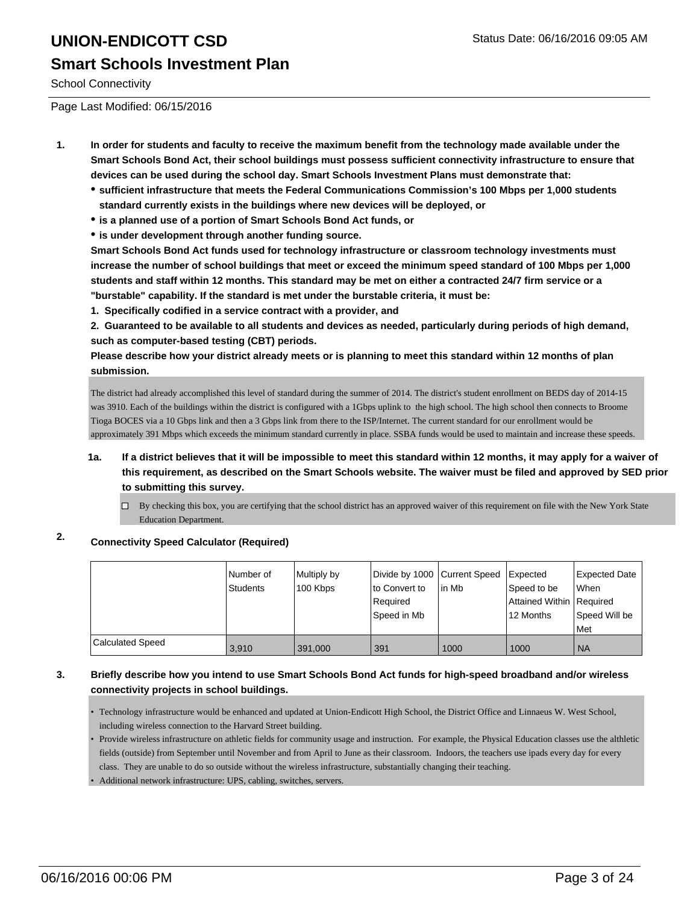# **UNION-ENDICOTT CSD** Status Date: 06/16/2016 09:05 AM **Smart Schools Investment Plan**

School Connectivity

Page Last Modified: 06/15/2016

- **1. In order for students and faculty to receive the maximum benefit from the technology made available under the Smart Schools Bond Act, their school buildings must possess sufficient connectivity infrastructure to ensure that devices can be used during the school day. Smart Schools Investment Plans must demonstrate that:**
	- **sufficient infrastructure that meets the Federal Communications Commission's 100 Mbps per 1,000 students standard currently exists in the buildings where new devices will be deployed, or**
	- **is a planned use of a portion of Smart Schools Bond Act funds, or**
	- **is under development through another funding source.**

**Smart Schools Bond Act funds used for technology infrastructure or classroom technology investments must increase the number of school buildings that meet or exceed the minimum speed standard of 100 Mbps per 1,000 students and staff within 12 months. This standard may be met on either a contracted 24/7 firm service or a "burstable" capability. If the standard is met under the burstable criteria, it must be:**

**1. Specifically codified in a service contract with a provider, and**

**2. Guaranteed to be available to all students and devices as needed, particularly during periods of high demand, such as computer-based testing (CBT) periods.**

**Please describe how your district already meets or is planning to meet this standard within 12 months of plan submission.**

The district had already accomplished this level of standard during the summer of 2014. The district's student enrollment on BEDS day of 2014-15 was 3910. Each of the buildings within the district is configured with a 1Gbps uplink to the high school. The high school then connects to Broome Tioga BOCES via a 10 Gbps link and then a 3 Gbps link from there to the ISP/Internet. The current standard for our enrollment would be approximately 391 Mbps which exceeds the minimum standard currently in place. SSBA funds would be used to maintain and increase these speeds.

- **1a. If a district believes that it will be impossible to meet this standard within 12 months, it may apply for a waiver of this requirement, as described on the Smart Schools website. The waiver must be filed and approved by SED prior to submitting this survey.**
	- $\Box$  By checking this box, you are certifying that the school district has an approved waiver of this requirement on file with the New York State Education Department.

#### **2. Connectivity Speed Calculator (Required)**

|                  | Number of<br><b>Students</b> | Multiply by<br>100 Kbps | Divide by 1000 Current Speed<br>lto Convert to<br>l Reauired<br>lSpeed in Mb | lin Mb | <b>I</b> Expected<br>Speed to be<br>Attained Within Required<br>12 Months | Expected Date<br>When<br>Speed Will be<br>Met |
|------------------|------------------------------|-------------------------|------------------------------------------------------------------------------|--------|---------------------------------------------------------------------------|-----------------------------------------------|
| Calculated Speed | 3,910                        | 391,000                 | 391                                                                          | 1000   | 1000                                                                      | <b>NA</b>                                     |

#### **3. Briefly describe how you intend to use Smart Schools Bond Act funds for high-speed broadband and/or wireless connectivity projects in school buildings.**

• Technology infrastructure would be enhanced and updated at Union-Endicott High School, the District Office and Linnaeus W. West School, including wireless connection to the Harvard Street building.

• Provide wireless infrastructure on athletic fields for community usage and instruction. For example, the Physical Education classes use the althletic fields (outside) from September until November and from April to June as their classroom. Indoors, the teachers use ipads every day for every class. They are unable to do so outside without the wireless infrastructure, substantially changing their teaching.

• Additional network infrastructure: UPS, cabling, switches, servers.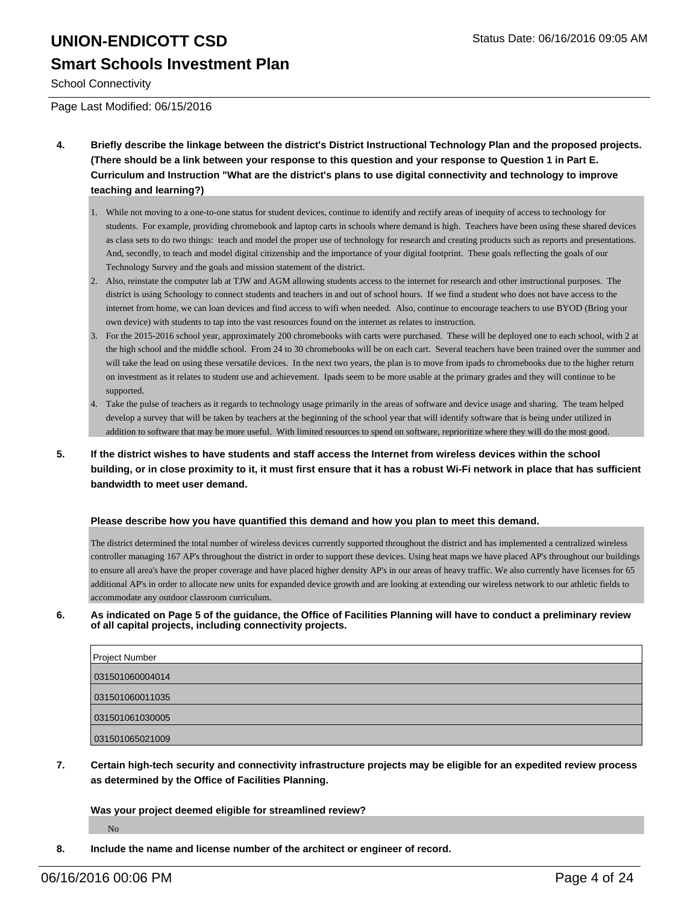# **UNION-ENDICOTT CSD** Status Date: 06/16/2016 09:05 AM **Smart Schools Investment Plan**

School Connectivity

Page Last Modified: 06/15/2016

- **4. Briefly describe the linkage between the district's District Instructional Technology Plan and the proposed projects. (There should be a link between your response to this question and your response to Question 1 in Part E. Curriculum and Instruction "What are the district's plans to use digital connectivity and technology to improve teaching and learning?)**
	- While not moving to a one-to-one status for student devices, continue to identify and rectify areas of inequity of access to technology for 1. students. For example, providing chromebook and laptop carts in schools where demand is high. Teachers have been using these shared devices as class sets to do two things: teach and model the proper use of technology for research and creating products such as reports and presentations. And, secondly, to teach and model digital citizenship and the importance of your digital footprint. These goals reflecting the goals of our Technology Survey and the goals and mission statement of the district.
	- Also, reinstate the computer lab at TJW and AGM allowing students access to the internet for research and other instructional purposes. The 2. district is using Schoology to connect students and teachers in and out of school hours. If we find a student who does not have access to the internet from home, we can loan devices and find access to wifi when needed. Also, continue to encourage teachers to use BYOD (Bring your own device) with students to tap into the vast resources found on the internet as relates to instruction.
	- For the 2015-2016 school year, approximately 200 chromebooks with carts were purchased. These will be deployed one to each school, with 2 at 3. the high school and the middle school. From 24 to 30 chromebooks will be on each cart. Several teachers have been trained over the summer and will take the lead on using these versatile devices. In the next two years, the plan is to move from ipads to chromebooks due to the higher return on investment as it relates to student use and achievement. Ipads seem to be more usable at the primary grades and they will continue to be supported.
	- Take the pulse of teachers as it regards to technology usage primarily in the areas of software and device usage and sharing. The team helped 4. develop a survey that will be taken by teachers at the beginning of the school year that will identify software that is being under utilized in addition to software that may be more useful. With limited resources to spend on software, reprioritize where they will do the most good.
- **5. If the district wishes to have students and staff access the Internet from wireless devices within the school building, or in close proximity to it, it must first ensure that it has a robust Wi-Fi network in place that has sufficient bandwidth to meet user demand.**

#### **Please describe how you have quantified this demand and how you plan to meet this demand.**

The district determined the total number of wireless devices currently supported throughout the district and has implemented a centralized wireless controller managing 167 AP's throughout the district in order to support these devices. Using heat maps we have placed AP's throughout our buildings to ensure all area's have the proper coverage and have placed higher density AP's in our areas of heavy traffic. We also currently have licenses for 65 additional AP's in order to allocate new units for expanded device growth and are looking at extending our wireless network to our athletic fields to accommodate any outdoor classroom curriculum.

**6. As indicated on Page 5 of the guidance, the Office of Facilities Planning will have to conduct a preliminary review of all capital projects, including connectivity projects.**

| <b>Project Number</b> |
|-----------------------|
| 031501060004014       |
| 031501060011035       |
| 031501061030005       |
| 031501065021009       |

**7. Certain high-tech security and connectivity infrastructure projects may be eligible for an expedited review process as determined by the Office of Facilities Planning.**

#### **Was your project deemed eligible for streamlined review?**

No

**8. Include the name and license number of the architect or engineer of record.**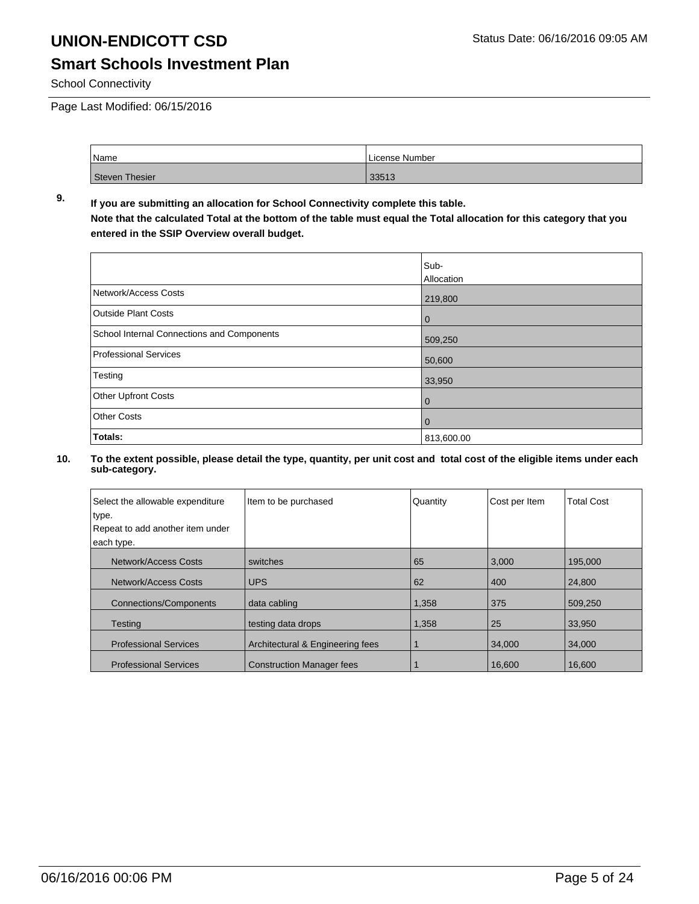### **Smart Schools Investment Plan**

School Connectivity

Page Last Modified: 06/15/2016

| Name                  | License Number |  |  |
|-----------------------|----------------|--|--|
| <b>Steven Thesier</b> | 33513          |  |  |

#### **9. If you are submitting an allocation for School Connectivity complete this table. Note that the calculated Total at the bottom of the table must equal the Total allocation for this category that you entered in the SSIP Overview overall budget.**

|                                            | Sub-           |
|--------------------------------------------|----------------|
|                                            | Allocation     |
| Network/Access Costs                       | 219,800        |
| <b>Outside Plant Costs</b>                 | $\mathbf 0$    |
| School Internal Connections and Components | 509,250        |
| <b>Professional Services</b>               | 50,600         |
| Testing                                    | 33,950         |
| Other Upfront Costs                        | $\overline{0}$ |
| <b>Other Costs</b>                         | 0              |
| Totals:                                    | 813,600.00     |

| Select the allowable expenditure<br>type. | Item to be purchased             | Quantity | Cost per Item | <b>Total Cost</b> |
|-------------------------------------------|----------------------------------|----------|---------------|-------------------|
| Repeat to add another item under          |                                  |          |               |                   |
| each type.                                |                                  |          |               |                   |
| Network/Access Costs                      | switches                         | 65       | 3,000         | 195,000           |
| Network/Access Costs                      | <b>UPS</b>                       | 62       | 400           | 24,800            |
| <b>Connections/Components</b>             | data cabling                     | 1,358    | 375           | 509,250           |
| <b>Testing</b>                            | testing data drops               | 1,358    | 25            | 33,950            |
| <b>Professional Services</b>              | Architectural & Engineering fees |          | 34,000        | 34,000            |
| <b>Professional Services</b>              | <b>Construction Manager fees</b> |          | 16.600        | 16.600            |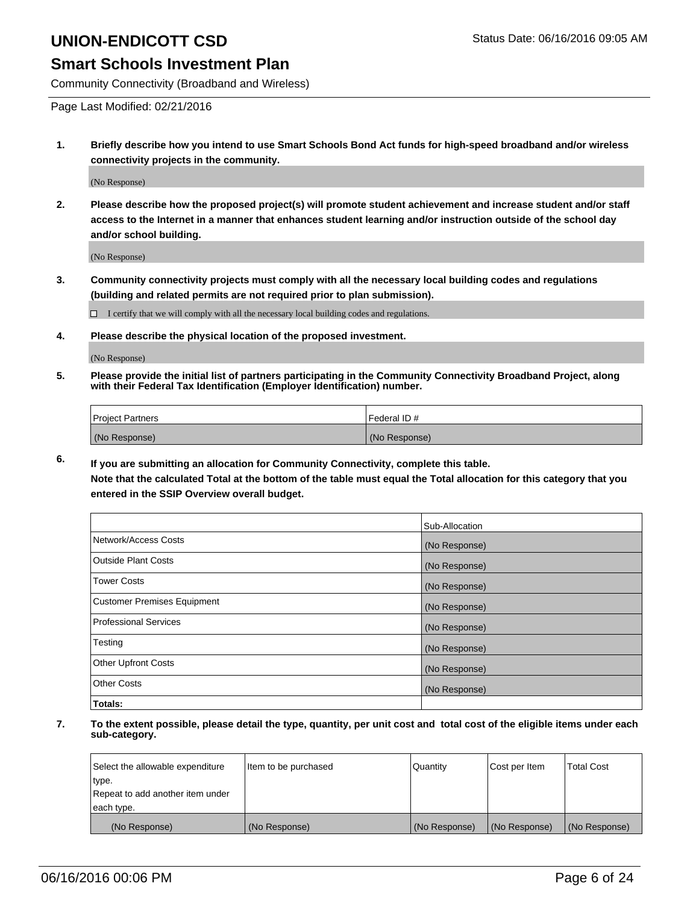#### **Smart Schools Investment Plan**

Community Connectivity (Broadband and Wireless)

Page Last Modified: 02/21/2016

**1. Briefly describe how you intend to use Smart Schools Bond Act funds for high-speed broadband and/or wireless connectivity projects in the community.**

(No Response)

**2. Please describe how the proposed project(s) will promote student achievement and increase student and/or staff access to the Internet in a manner that enhances student learning and/or instruction outside of the school day and/or school building.**

(No Response)

**3. Community connectivity projects must comply with all the necessary local building codes and regulations (building and related permits are not required prior to plan submission).**

 $\Box$  I certify that we will comply with all the necessary local building codes and regulations.

**4. Please describe the physical location of the proposed investment.**

(No Response)

**5. Please provide the initial list of partners participating in the Community Connectivity Broadband Project, along with their Federal Tax Identification (Employer Identification) number.**

| Project Partners | I Federal ID # |
|------------------|----------------|
| (No Response)    | (No Response)  |

**6. If you are submitting an allocation for Community Connectivity, complete this table.**

**Note that the calculated Total at the bottom of the table must equal the Total allocation for this category that you entered in the SSIP Overview overall budget.**

|                             | Sub-Allocation |
|-----------------------------|----------------|
| Network/Access Costs        | (No Response)  |
| Outside Plant Costs         | (No Response)  |
| <b>Tower Costs</b>          | (No Response)  |
| Customer Premises Equipment | (No Response)  |
| Professional Services       | (No Response)  |
| Testing                     | (No Response)  |
| Other Upfront Costs         | (No Response)  |
| Other Costs                 | (No Response)  |
| Totals:                     |                |

| Select the allowable expenditure | Item to be purchased | Quantity      | Cost per Item | <b>Total Cost</b> |
|----------------------------------|----------------------|---------------|---------------|-------------------|
| type.                            |                      |               |               |                   |
| Repeat to add another item under |                      |               |               |                   |
| each type.                       |                      |               |               |                   |
| (No Response)                    | (No Response)        | (No Response) | (No Response) | (No Response)     |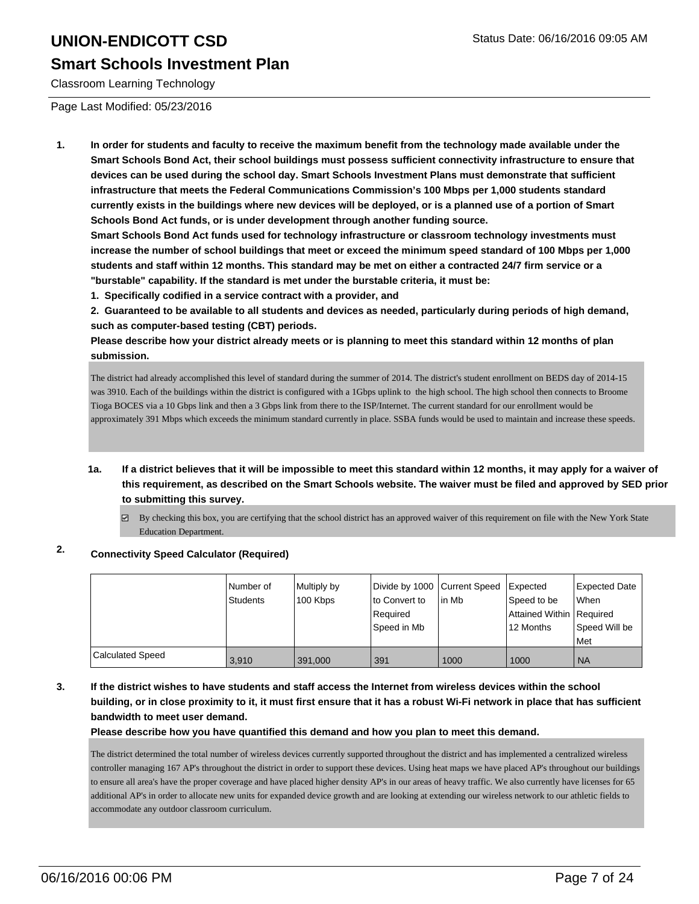#### **Smart Schools Investment Plan**

Classroom Learning Technology

Page Last Modified: 05/23/2016

**1. In order for students and faculty to receive the maximum benefit from the technology made available under the Smart Schools Bond Act, their school buildings must possess sufficient connectivity infrastructure to ensure that devices can be used during the school day. Smart Schools Investment Plans must demonstrate that sufficient infrastructure that meets the Federal Communications Commission's 100 Mbps per 1,000 students standard currently exists in the buildings where new devices will be deployed, or is a planned use of a portion of Smart Schools Bond Act funds, or is under development through another funding source.**

**Smart Schools Bond Act funds used for technology infrastructure or classroom technology investments must increase the number of school buildings that meet or exceed the minimum speed standard of 100 Mbps per 1,000 students and staff within 12 months. This standard may be met on either a contracted 24/7 firm service or a "burstable" capability. If the standard is met under the burstable criteria, it must be:**

**1. Specifically codified in a service contract with a provider, and**

**2. Guaranteed to be available to all students and devices as needed, particularly during periods of high demand, such as computer-based testing (CBT) periods.**

**Please describe how your district already meets or is planning to meet this standard within 12 months of plan submission.**

The district had already accomplished this level of standard during the summer of 2014. The district's student enrollment on BEDS day of 2014-15 was 3910. Each of the buildings within the district is configured with a 1Gbps uplink to the high school. The high school then connects to Broome Tioga BOCES via a 10 Gbps link and then a 3 Gbps link from there to the ISP/Internet. The current standard for our enrollment would be approximately 391 Mbps which exceeds the minimum standard currently in place. SSBA funds would be used to maintain and increase these speeds.

- **1a. If a district believes that it will be impossible to meet this standard within 12 months, it may apply for a waiver of this requirement, as described on the Smart Schools website. The waiver must be filed and approved by SED prior to submitting this survey.**
	- $\boxtimes$  By checking this box, you are certifying that the school district has an approved waiver of this requirement on file with the New York State Education Department.

#### **2. Connectivity Speed Calculator (Required)**

|                         | Number of<br><b>Students</b> | Multiply by<br>100 Kbps | Divide by 1000 Current Speed<br>Ito Convert to<br>Required<br>Speed in Mb | in Mb | Expected<br>Speed to be<br>Attained Within Required<br>12 Months | <b>Expected Date</b><br>lWhen<br>Speed Will be<br><b>Met</b> |
|-------------------------|------------------------------|-------------------------|---------------------------------------------------------------------------|-------|------------------------------------------------------------------|--------------------------------------------------------------|
| <b>Calculated Speed</b> | 3.910                        | 391,000                 | 391                                                                       | 1000  | 1000                                                             | l NA                                                         |

**3. If the district wishes to have students and staff access the Internet from wireless devices within the school building, or in close proximity to it, it must first ensure that it has a robust Wi-Fi network in place that has sufficient bandwidth to meet user demand.**

**Please describe how you have quantified this demand and how you plan to meet this demand.**

The district determined the total number of wireless devices currently supported throughout the district and has implemented a centralized wireless controller managing 167 AP's throughout the district in order to support these devices. Using heat maps we have placed AP's throughout our buildings to ensure all area's have the proper coverage and have placed higher density AP's in our areas of heavy traffic. We also currently have licenses for 65 additional AP's in order to allocate new units for expanded device growth and are looking at extending our wireless network to our athletic fields to accommodate any outdoor classroom curriculum.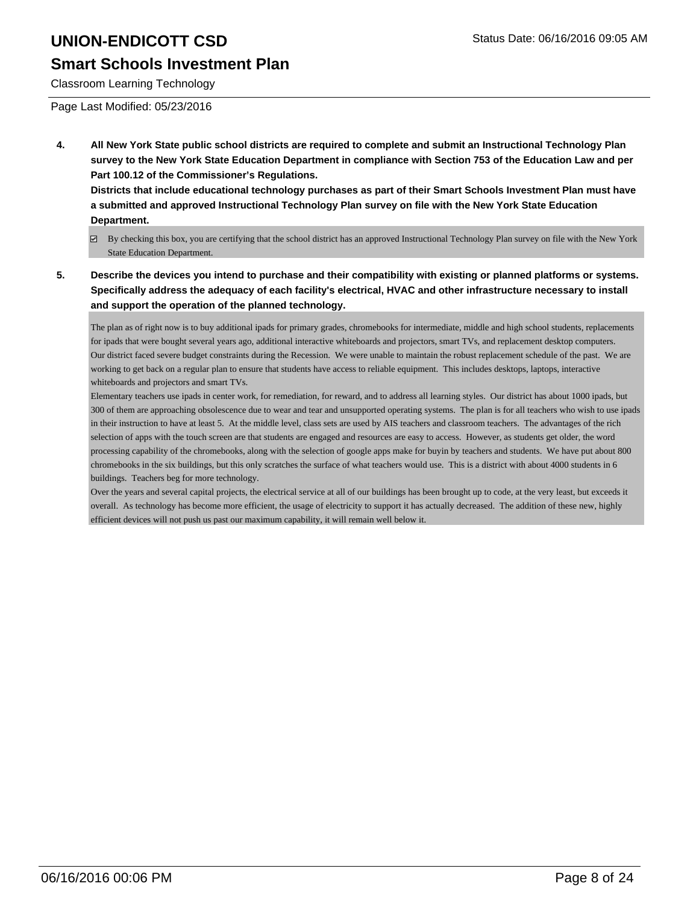#### **Smart Schools Investment Plan**

Classroom Learning Technology

Page Last Modified: 05/23/2016

**4. All New York State public school districts are required to complete and submit an Instructional Technology Plan survey to the New York State Education Department in compliance with Section 753 of the Education Law and per Part 100.12 of the Commissioner's Regulations.**

**Districts that include educational technology purchases as part of their Smart Schools Investment Plan must have a submitted and approved Instructional Technology Plan survey on file with the New York State Education Department.**

- By checking this box, you are certifying that the school district has an approved Instructional Technology Plan survey on file with the New York State Education Department.
- **5. Describe the devices you intend to purchase and their compatibility with existing or planned platforms or systems. Specifically address the adequacy of each facility's electrical, HVAC and other infrastructure necessary to install and support the operation of the planned technology.**

The plan as of right now is to buy additional ipads for primary grades, chromebooks for intermediate, middle and high school students, replacements for ipads that were bought several years ago, additional interactive whiteboards and projectors, smart TVs, and replacement desktop computers. Our district faced severe budget constraints during the Recession. We were unable to maintain the robust replacement schedule of the past. We are working to get back on a regular plan to ensure that students have access to reliable equipment. This includes desktops, laptops, interactive whiteboards and projectors and smart TVs.

Elementary teachers use ipads in center work, for remediation, for reward, and to address all learning styles. Our district has about 1000 ipads, but 300 of them are approaching obsolescence due to wear and tear and unsupported operating systems. The plan is for all teachers who wish to use ipads in their instruction to have at least 5. At the middle level, class sets are used by AIS teachers and classroom teachers. The advantages of the rich selection of apps with the touch screen are that students are engaged and resources are easy to access. However, as students get older, the word processing capability of the chromebooks, along with the selection of google apps make for buyin by teachers and students. We have put about 800 chromebooks in the six buildings, but this only scratches the surface of what teachers would use. This is a district with about 4000 students in 6 buildings. Teachers beg for more technology.

Over the years and several capital projects, the electrical service at all of our buildings has been brought up to code, at the very least, but exceeds it overall. As technology has become more efficient, the usage of electricity to support it has actually decreased. The addition of these new, highly efficient devices will not push us past our maximum capability, it will remain well below it.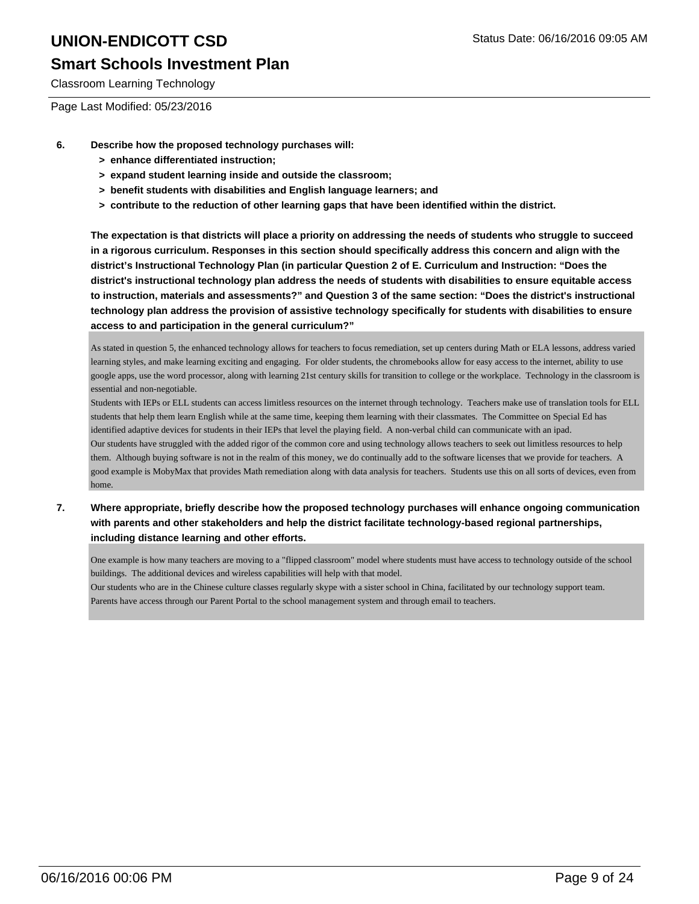#### **Smart Schools Investment Plan**

Classroom Learning Technology

Page Last Modified: 05/23/2016

- **6. Describe how the proposed technology purchases will:**
	- **> enhance differentiated instruction;**
	- **> expand student learning inside and outside the classroom;**
	- **> benefit students with disabilities and English language learners; and**
	- **> contribute to the reduction of other learning gaps that have been identified within the district.**

**The expectation is that districts will place a priority on addressing the needs of students who struggle to succeed in a rigorous curriculum. Responses in this section should specifically address this concern and align with the district's Instructional Technology Plan (in particular Question 2 of E. Curriculum and Instruction: "Does the district's instructional technology plan address the needs of students with disabilities to ensure equitable access to instruction, materials and assessments?" and Question 3 of the same section: "Does the district's instructional technology plan address the provision of assistive technology specifically for students with disabilities to ensure access to and participation in the general curriculum?"**

As stated in question 5, the enhanced technology allows for teachers to focus remediation, set up centers during Math or ELA lessons, address varied learning styles, and make learning exciting and engaging. For older students, the chromebooks allow for easy access to the internet, ability to use google apps, use the word processor, along with learning 21st century skills for transition to college or the workplace. Technology in the classroom is essential and non-negotiable.

Students with IEPs or ELL students can access limitless resources on the internet through technology. Teachers make use of translation tools for ELL students that help them learn English while at the same time, keeping them learning with their classmates. The Committee on Special Ed has identified adaptive devices for students in their IEPs that level the playing field. A non-verbal child can communicate with an ipad. Our students have struggled with the added rigor of the common core and using technology allows teachers to seek out limitless resources to help them. Although buying software is not in the realm of this money, we do continually add to the software licenses that we provide for teachers. A good example is MobyMax that provides Math remediation along with data analysis for teachers. Students use this on all sorts of devices, even from home.

**7. Where appropriate, briefly describe how the proposed technology purchases will enhance ongoing communication with parents and other stakeholders and help the district facilitate technology-based regional partnerships, including distance learning and other efforts.**

One example is how many teachers are moving to a "flipped classroom" model where students must have access to technology outside of the school buildings. The additional devices and wireless capabilities will help with that model.

Our students who are in the Chinese culture classes regularly skype with a sister school in China, facilitated by our technology support team. Parents have access through our Parent Portal to the school management system and through email to teachers.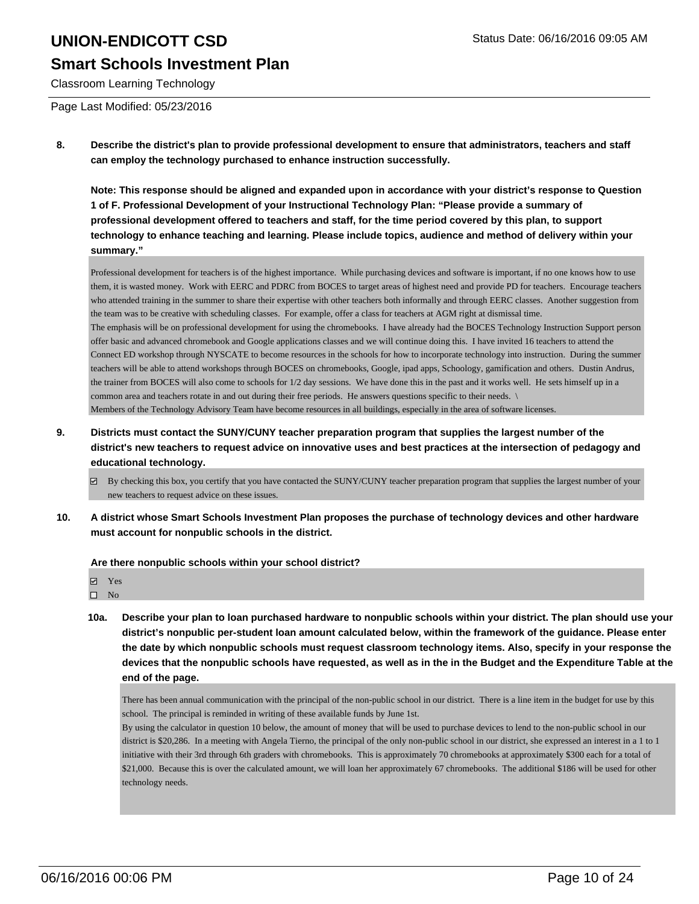#### **Smart Schools Investment Plan**

Classroom Learning Technology

Page Last Modified: 05/23/2016

**8. Describe the district's plan to provide professional development to ensure that administrators, teachers and staff can employ the technology purchased to enhance instruction successfully.**

**Note: This response should be aligned and expanded upon in accordance with your district's response to Question 1 of F. Professional Development of your Instructional Technology Plan: "Please provide a summary of professional development offered to teachers and staff, for the time period covered by this plan, to support technology to enhance teaching and learning. Please include topics, audience and method of delivery within your summary."**

Professional development for teachers is of the highest importance. While purchasing devices and software is important, if no one knows how to use them, it is wasted money. Work with EERC and PDRC from BOCES to target areas of highest need and provide PD for teachers. Encourage teachers who attended training in the summer to share their expertise with other teachers both informally and through EERC classes. Another suggestion from the team was to be creative with scheduling classes. For example, offer a class for teachers at AGM right at dismissal time. The emphasis will be on professional development for using the chromebooks. I have already had the BOCES Technology Instruction Support person offer basic and advanced chromebook and Google applications classes and we will continue doing this. I have invited 16 teachers to attend the Connect ED workshop through NYSCATE to become resources in the schools for how to incorporate technology into instruction. During the summer teachers will be able to attend workshops through BOCES on chromebooks, Google, ipad apps, Schoology, gamification and others. Dustin Andrus, the trainer from BOCES will also come to schools for 1/2 day sessions. We have done this in the past and it works well. He sets himself up in a common area and teachers rotate in and out during their free periods. He answers questions specific to their needs. \ Members of the Technology Advisory Team have become resources in all buildings, especially in the area of software licenses.

- **9. Districts must contact the SUNY/CUNY teacher preparation program that supplies the largest number of the district's new teachers to request advice on innovative uses and best practices at the intersection of pedagogy and educational technology.**
	- By checking this box, you certify that you have contacted the SUNY/CUNY teacher preparation program that supplies the largest number of your new teachers to request advice on these issues.
- **10. A district whose Smart Schools Investment Plan proposes the purchase of technology devices and other hardware must account for nonpublic schools in the district.**

**Are there nonpublic schools within your school district?**

- **Ø** Yes
- $\square$  No
- **10a. Describe your plan to loan purchased hardware to nonpublic schools within your district. The plan should use your district's nonpublic per-student loan amount calculated below, within the framework of the guidance. Please enter the date by which nonpublic schools must request classroom technology items. Also, specify in your response the devices that the nonpublic schools have requested, as well as in the in the Budget and the Expenditure Table at the end of the page.**

There has been annual communication with the principal of the non-public school in our district. There is a line item in the budget for use by this school. The principal is reminded in writing of these available funds by June 1st.

By using the calculator in question 10 below, the amount of money that will be used to purchase devices to lend to the non-public school in our district is \$20,286. In a meeting with Angela Tierno, the principal of the only non-public school in our district, she expressed an interest in a 1 to 1 initiative with their 3rd through 6th graders with chromebooks. This is approximately 70 chromebooks at approximately \$300 each for a total of \$21,000. Because this is over the calculated amount, we will loan her approximately 67 chromebooks. The additional \$186 will be used for other technology needs.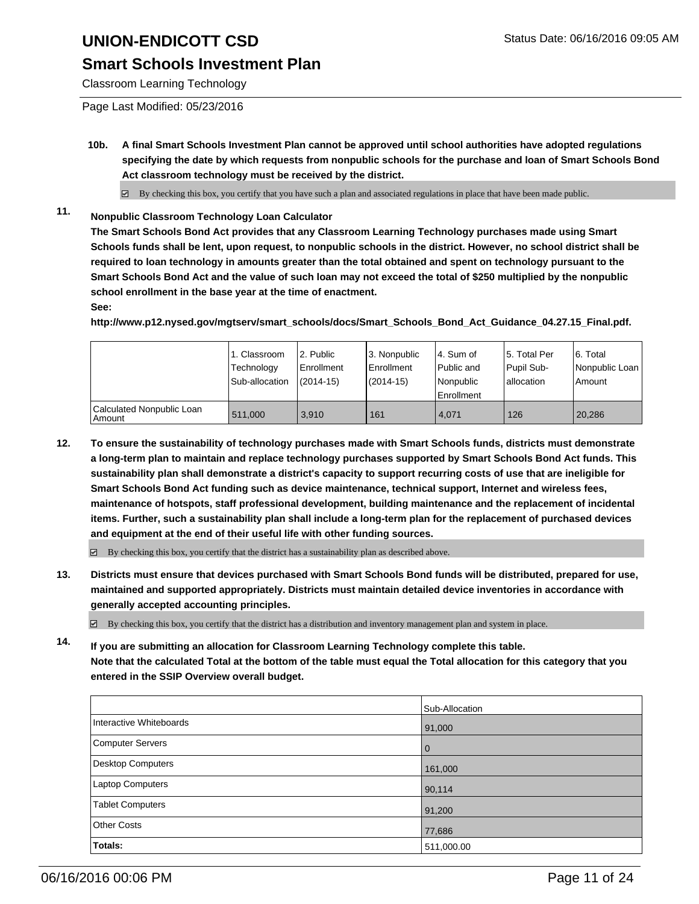#### **Smart Schools Investment Plan**

Classroom Learning Technology

Page Last Modified: 05/23/2016

**10b. A final Smart Schools Investment Plan cannot be approved until school authorities have adopted regulations specifying the date by which requests from nonpublic schools for the purchase and loan of Smart Schools Bond Act classroom technology must be received by the district.**

 $\boxtimes$  By checking this box, you certify that you have such a plan and associated regulations in place that have been made public.

**11. Nonpublic Classroom Technology Loan Calculator**

**The Smart Schools Bond Act provides that any Classroom Learning Technology purchases made using Smart Schools funds shall be lent, upon request, to nonpublic schools in the district. However, no school district shall be required to loan technology in amounts greater than the total obtained and spent on technology pursuant to the Smart Schools Bond Act and the value of such loan may not exceed the total of \$250 multiplied by the nonpublic school enrollment in the base year at the time of enactment.**

#### **See:**

**http://www.p12.nysed.gov/mgtserv/smart\_schools/docs/Smart\_Schools\_Bond\_Act\_Guidance\_04.27.15\_Final.pdf.**

|                                     | 1. Classroom<br>Technology<br>Sub-allocation | 2. Public<br><b>Enrollment</b><br>$(2014 - 15)$ | 3. Nonpublic<br>Enrollment<br>$(2014-15)$ | l 4. Sum of<br>l Public and<br>Nonpublic<br>Enrollment | 5. Total Per<br>Pupil Sub-<br>Iallocation | 6. Total<br>Nonpublic Loan<br>Amount |
|-------------------------------------|----------------------------------------------|-------------------------------------------------|-------------------------------------------|--------------------------------------------------------|-------------------------------------------|--------------------------------------|
| Calculated Nonpublic Loan<br>Amount | 511.000                                      | 3.910                                           | 161                                       | 4.071                                                  | 126                                       | 20,286                               |

**12. To ensure the sustainability of technology purchases made with Smart Schools funds, districts must demonstrate a long-term plan to maintain and replace technology purchases supported by Smart Schools Bond Act funds. This sustainability plan shall demonstrate a district's capacity to support recurring costs of use that are ineligible for Smart Schools Bond Act funding such as device maintenance, technical support, Internet and wireless fees, maintenance of hotspots, staff professional development, building maintenance and the replacement of incidental items. Further, such a sustainability plan shall include a long-term plan for the replacement of purchased devices and equipment at the end of their useful life with other funding sources.**

 $\boxtimes$  By checking this box, you certify that the district has a sustainability plan as described above.

**13. Districts must ensure that devices purchased with Smart Schools Bond funds will be distributed, prepared for use, maintained and supported appropriately. Districts must maintain detailed device inventories in accordance with generally accepted accounting principles.**

 $\boxtimes$  By checking this box, you certify that the district has a distribution and inventory management plan and system in place.

**14. If you are submitting an allocation for Classroom Learning Technology complete this table. Note that the calculated Total at the bottom of the table must equal the Total allocation for this category that you entered in the SSIP Overview overall budget.**

|                         | Sub-Allocation |
|-------------------------|----------------|
| Interactive Whiteboards | 91,000         |
| Computer Servers        | $\overline{0}$ |
| Desktop Computers       | 161,000        |
| Laptop Computers        | 90,114         |
| Tablet Computers        | 91,200         |
| Other Costs             | 77,686         |
| Totals:                 | 511,000.00     |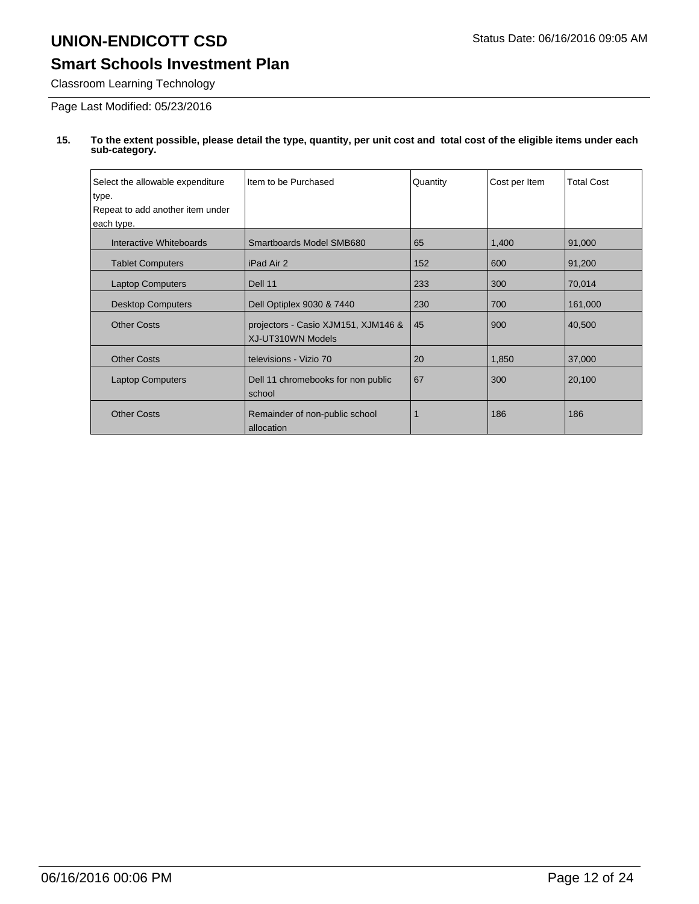### **Smart Schools Investment Plan**

Classroom Learning Technology

Page Last Modified: 05/23/2016

| Select the allowable expenditure | Item to be Purchased                                     | Quantity | Cost per Item | <b>Total Cost</b> |
|----------------------------------|----------------------------------------------------------|----------|---------------|-------------------|
| type.                            |                                                          |          |               |                   |
| Repeat to add another item under |                                                          |          |               |                   |
| each type.                       |                                                          |          |               |                   |
| Interactive Whiteboards          | Smartboards Model SMB680                                 | 65       | 1,400         | 91,000            |
| <b>Tablet Computers</b>          | iPad Air 2                                               | 152      | 600           | 91,200            |
| <b>Laptop Computers</b>          | Dell 11                                                  | 233      | 300           | 70,014            |
| <b>Desktop Computers</b>         | Dell Optiplex 9030 & 7440                                | 230      | 700           | 161,000           |
| <b>Other Costs</b>               | projectors - Casio XJM151, XJM146 &<br>XJ-UT310WN Models | 45       | 900           | 40,500            |
| <b>Other Costs</b>               | televisions - Vizio 70                                   | 20       | 1,850         | 37,000            |
| <b>Laptop Computers</b>          | Dell 11 chromebooks for non public<br>school             | 67       | 300           | 20,100            |
| <b>Other Costs</b>               | Remainder of non-public school<br>allocation             |          | 186           | 186               |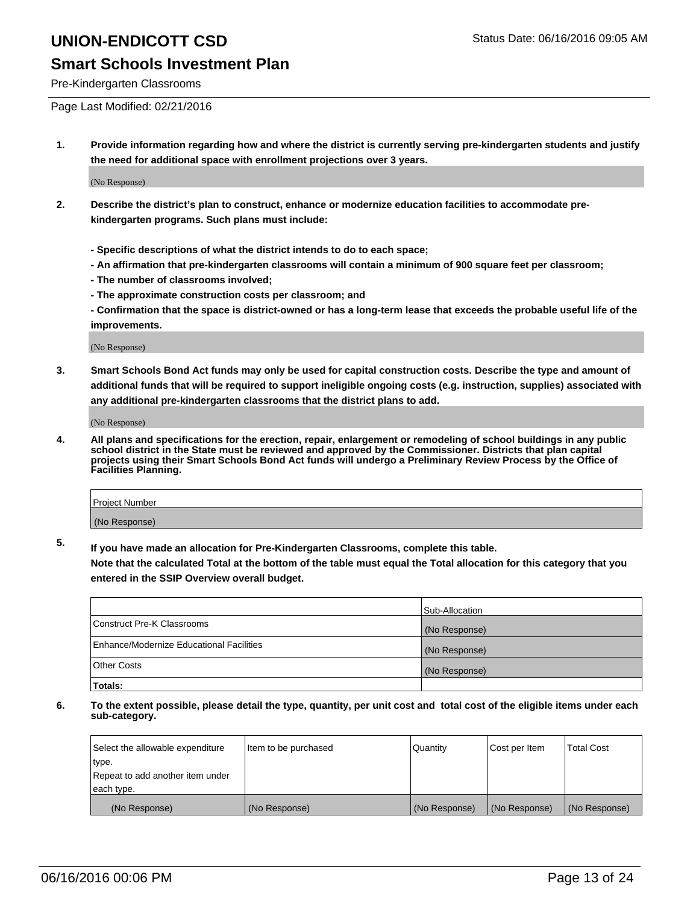#### **Smart Schools Investment Plan**

Pre-Kindergarten Classrooms

Page Last Modified: 02/21/2016

**1. Provide information regarding how and where the district is currently serving pre-kindergarten students and justify the need for additional space with enrollment projections over 3 years.**

(No Response)

- **2. Describe the district's plan to construct, enhance or modernize education facilities to accommodate prekindergarten programs. Such plans must include:**
	- **Specific descriptions of what the district intends to do to each space;**
	- **An affirmation that pre-kindergarten classrooms will contain a minimum of 900 square feet per classroom;**
	- **The number of classrooms involved;**
	- **The approximate construction costs per classroom; and**
	- **Confirmation that the space is district-owned or has a long-term lease that exceeds the probable useful life of the improvements.**

(No Response)

**3. Smart Schools Bond Act funds may only be used for capital construction costs. Describe the type and amount of additional funds that will be required to support ineligible ongoing costs (e.g. instruction, supplies) associated with any additional pre-kindergarten classrooms that the district plans to add.**

(No Response)

**4. All plans and specifications for the erection, repair, enlargement or remodeling of school buildings in any public school district in the State must be reviewed and approved by the Commissioner. Districts that plan capital projects using their Smart Schools Bond Act funds will undergo a Preliminary Review Process by the Office of Facilities Planning.**

| Project Number |  |
|----------------|--|
| (No Response)  |  |

**5. If you have made an allocation for Pre-Kindergarten Classrooms, complete this table.**

**Note that the calculated Total at the bottom of the table must equal the Total allocation for this category that you entered in the SSIP Overview overall budget.**

|                                          | Sub-Allocation |
|------------------------------------------|----------------|
| Construct Pre-K Classrooms               | (No Response)  |
| Enhance/Modernize Educational Facilities | (No Response)  |
| Other Costs                              | (No Response)  |
| Totals:                                  |                |

| Select the allowable expenditure | Item to be purchased | Quantity      | Cost per Item | <b>Total Cost</b> |
|----------------------------------|----------------------|---------------|---------------|-------------------|
| type.                            |                      |               |               |                   |
| Repeat to add another item under |                      |               |               |                   |
| each type.                       |                      |               |               |                   |
| (No Response)                    | (No Response)        | (No Response) | (No Response) | (No Response)     |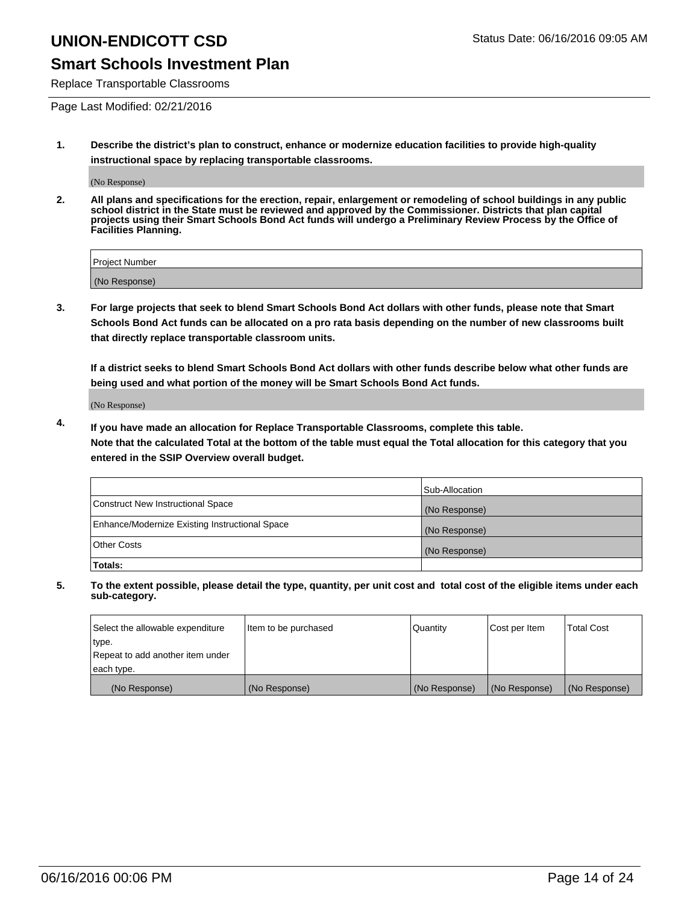#### **Smart Schools Investment Plan**

Replace Transportable Classrooms

Page Last Modified: 02/21/2016

**1. Describe the district's plan to construct, enhance or modernize education facilities to provide high-quality instructional space by replacing transportable classrooms.**

(No Response)

**2. All plans and specifications for the erection, repair, enlargement or remodeling of school buildings in any public school district in the State must be reviewed and approved by the Commissioner. Districts that plan capital projects using their Smart Schools Bond Act funds will undergo a Preliminary Review Process by the Office of Facilities Planning.**

| <b>Project Number</b> |  |
|-----------------------|--|
| (No Response)         |  |

**3. For large projects that seek to blend Smart Schools Bond Act dollars with other funds, please note that Smart Schools Bond Act funds can be allocated on a pro rata basis depending on the number of new classrooms built that directly replace transportable classroom units.**

**If a district seeks to blend Smart Schools Bond Act dollars with other funds describe below what other funds are being used and what portion of the money will be Smart Schools Bond Act funds.**

(No Response)

**4. If you have made an allocation for Replace Transportable Classrooms, complete this table. Note that the calculated Total at the bottom of the table must equal the Total allocation for this category that you entered in the SSIP Overview overall budget.**

|                                                | Sub-Allocation |
|------------------------------------------------|----------------|
| Construct New Instructional Space              | (No Response)  |
| Enhance/Modernize Existing Instructional Space | (No Response)  |
| <b>Other Costs</b>                             | (No Response)  |
| Totals:                                        |                |

| Select the allowable expenditure | Item to be purchased | <b>Quantity</b> | Cost per Item | <b>Total Cost</b> |
|----------------------------------|----------------------|-----------------|---------------|-------------------|
| type.                            |                      |                 |               |                   |
| Repeat to add another item under |                      |                 |               |                   |
| each type.                       |                      |                 |               |                   |
| (No Response)                    | (No Response)        | (No Response)   | (No Response) | (No Response)     |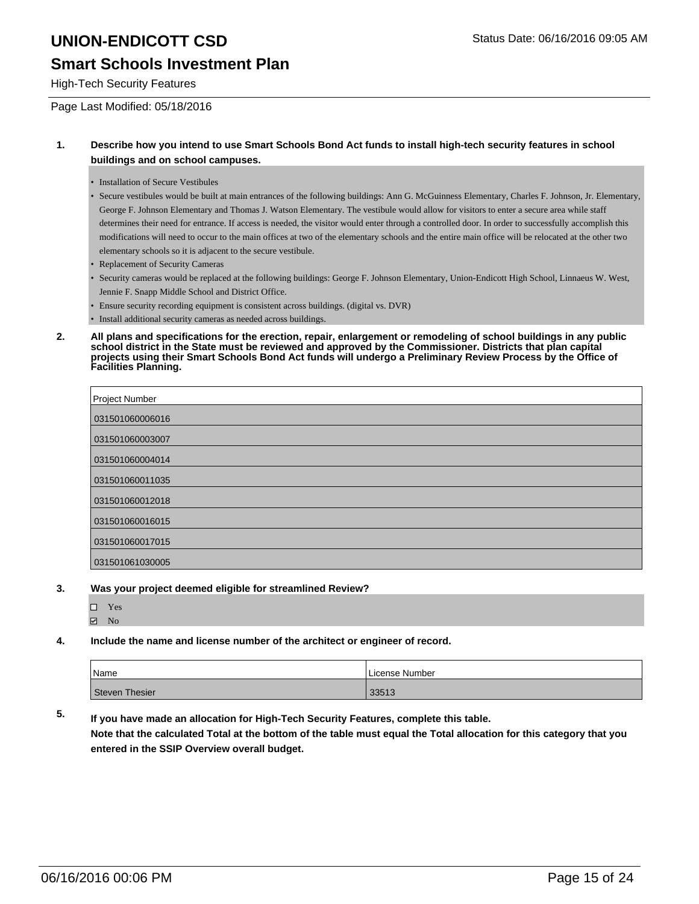#### **Smart Schools Investment Plan**

High-Tech Security Features

Page Last Modified: 05/18/2016

#### **1. Describe how you intend to use Smart Schools Bond Act funds to install high-tech security features in school buildings and on school campuses.**

• Installation of Secure Vestibules

• Secure vestibules would be built at main entrances of the following buildings: Ann G. McGuinness Elementary, Charles F. Johnson, Jr. Elementary, George F. Johnson Elementary and Thomas J. Watson Elementary. The vestibule would allow for visitors to enter a secure area while staff determines their need for entrance. If access is needed, the visitor would enter through a controlled door. In order to successfully accomplish this modifications will need to occur to the main offices at two of the elementary schools and the entire main office will be relocated at the other two elementary schools so it is adjacent to the secure vestibule.

- Replacement of Security Cameras
- Security cameras would be replaced at the following buildings: George F. Johnson Elementary, Union-Endicott High School, Linnaeus W. West, Jennie F. Snapp Middle School and District Office.
- Ensure security recording equipment is consistent across buildings. (digital vs. DVR)
- Install additional security cameras as needed across buildings.
- **2. All plans and specifications for the erection, repair, enlargement or remodeling of school buildings in any public school district in the State must be reviewed and approved by the Commissioner. Districts that plan capital projects using their Smart Schools Bond Act funds will undergo a Preliminary Review Process by the Office of Facilities Planning.**

| Project Number  |
|-----------------|
| 031501060006016 |
| 031501060003007 |
| 031501060004014 |
| 031501060011035 |
| 031501060012018 |
| 031501060016015 |
| 031501060017015 |
| 031501061030005 |

- **3. Was your project deemed eligible for streamlined Review?**
	- □ Yes **☑** No
- **4. Include the name and license number of the architect or engineer of record.**

| Name           | License Number |
|----------------|----------------|
| Steven Thesier | 33513          |

**5. If you have made an allocation for High-Tech Security Features, complete this table. Note that the calculated Total at the bottom of the table must equal the Total allocation for this category that you entered in the SSIP Overview overall budget.**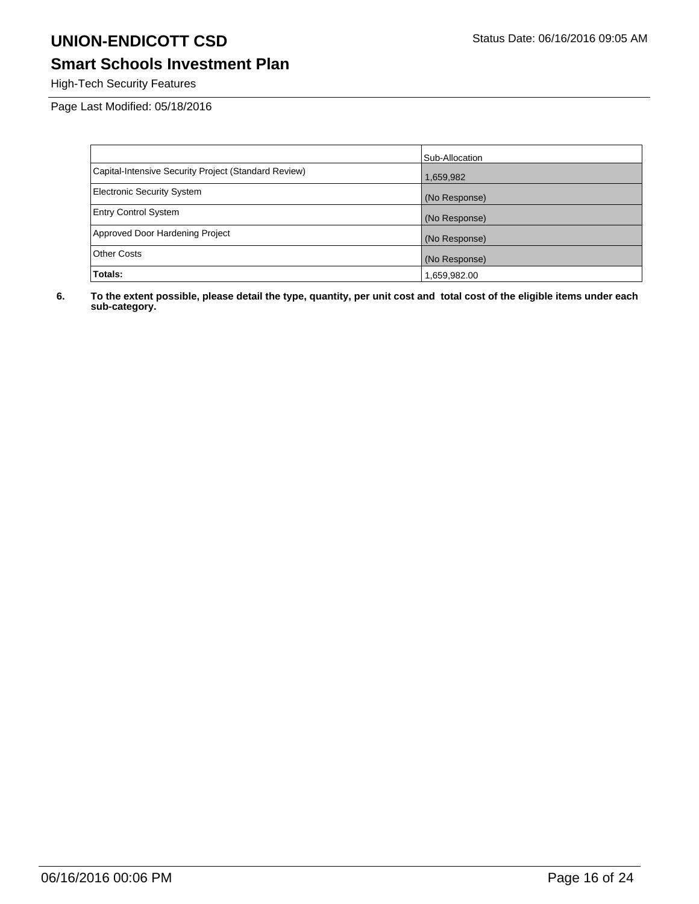### **Smart Schools Investment Plan**

High-Tech Security Features

Page Last Modified: 05/18/2016

|                                                      | Sub-Allocation |
|------------------------------------------------------|----------------|
| Capital-Intensive Security Project (Standard Review) | 1,659,982      |
| <b>Electronic Security System</b>                    | (No Response)  |
| <b>Entry Control System</b>                          | (No Response)  |
| Approved Door Hardening Project                      | (No Response)  |
| <b>Other Costs</b>                                   | (No Response)  |
| Totals:                                              | 1,659,982.00   |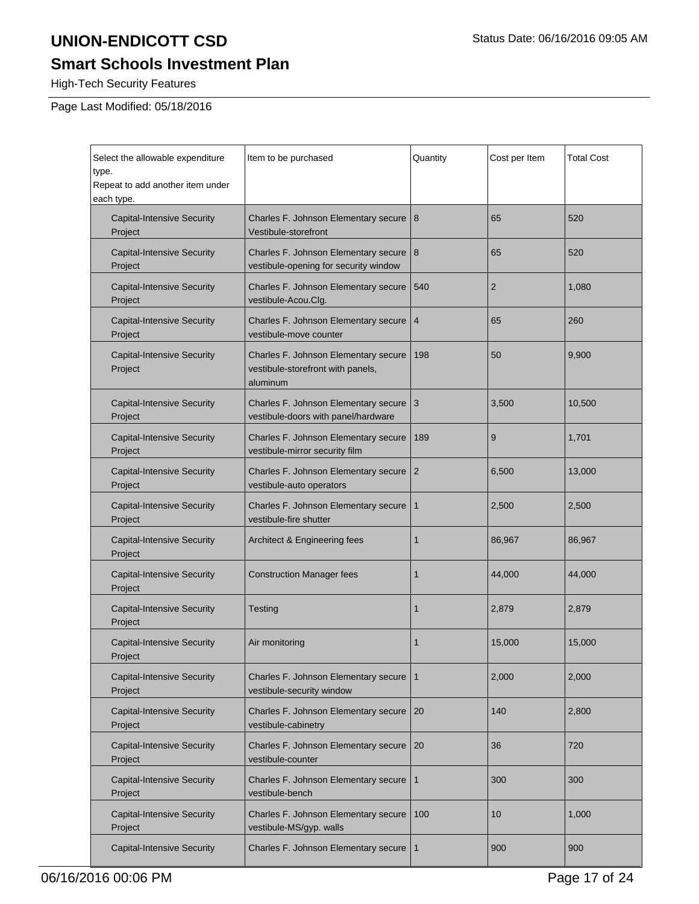# **Smart Schools Investment Plan**

High-Tech Security Features

| Select the allowable expenditure<br>type.<br>Repeat to add another item under<br>each type. | Item to be purchased                                                                  | Quantity       | Cost per Item  | <b>Total Cost</b> |
|---------------------------------------------------------------------------------------------|---------------------------------------------------------------------------------------|----------------|----------------|-------------------|
| <b>Capital-Intensive Security</b><br>Project                                                | Charles F. Johnson Elementary secure<br>Vestibule-storefront                          | 8              | 65             | 520               |
| <b>Capital-Intensive Security</b><br>Project                                                | Charles F. Johnson Elementary secure<br>vestibule-opening for security window         | 8              | 65             | 520               |
| <b>Capital-Intensive Security</b><br>Project                                                | Charles F. Johnson Elementary secure<br>vestibule-Acou.Clg.                           | 540            | $\overline{2}$ | 1,080             |
| <b>Capital-Intensive Security</b><br>Project                                                | Charles F. Johnson Elementary secure<br>vestibule-move counter                        | 4              | 65             | 260               |
| <b>Capital-Intensive Security</b><br>Project                                                | Charles F. Johnson Elementary secure<br>vestibule-storefront with panels,<br>aluminum | 198            | 50             | 9,900             |
| <b>Capital-Intensive Security</b><br>Project                                                | Charles F. Johnson Elementary secure<br>vestibule-doors with panel/hardware           | 3              | 3,500          | 10,500            |
| <b>Capital-Intensive Security</b><br>Project                                                | Charles F. Johnson Elementary secure<br>vestibule-mirror security film                | 189            | 9              | 1,701             |
| <b>Capital-Intensive Security</b><br>Project                                                | Charles F. Johnson Elementary secure<br>vestibule-auto operators                      | $\overline{2}$ | 6,500          | 13,000            |
| <b>Capital-Intensive Security</b><br>Project                                                | Charles F. Johnson Elementary secure<br>vestibule-fire shutter                        | $\mathbf{1}$   | 2,500          | 2,500             |
| <b>Capital-Intensive Security</b><br>Project                                                | Architect & Engineering fees                                                          | 1              | 86,967         | 86,967            |
| <b>Capital-Intensive Security</b><br>Project                                                | <b>Construction Manager fees</b>                                                      | 1              | 44,000         | 44,000            |
| <b>Capital-Intensive Security</b><br>Project                                                | Testing                                                                               | 1              | 2,879          | 2,879             |
| <b>Capital-Intensive Security</b><br>Project                                                | Air monitoring                                                                        | 1              | 15,000         | 15,000            |
| <b>Capital-Intensive Security</b><br>Project                                                | Charles F. Johnson Elementary secure<br>vestibule-security window                     | $\mathbf{1}$   | 2,000          | 2,000             |
| <b>Capital-Intensive Security</b><br>Project                                                | Charles F. Johnson Elementary secure<br>vestibule-cabinetry                           | 20             | 140            | 2,800             |
| <b>Capital-Intensive Security</b><br>Project                                                | Charles F. Johnson Elementary secure<br>vestibule-counter                             | 20             | 36             | 720               |
| <b>Capital-Intensive Security</b><br>Project                                                | Charles F. Johnson Elementary secure<br>vestibule-bench                               | $\mathbf{1}$   | 300            | 300               |
| <b>Capital-Intensive Security</b><br>Project                                                | Charles F. Johnson Elementary secure<br>vestibule-MS/gyp. walls                       | 100            | 10             | 1,000             |
| <b>Capital-Intensive Security</b>                                                           | Charles F. Johnson Elementary secure                                                  | $\mathbf{1}$   | 900            | 900               |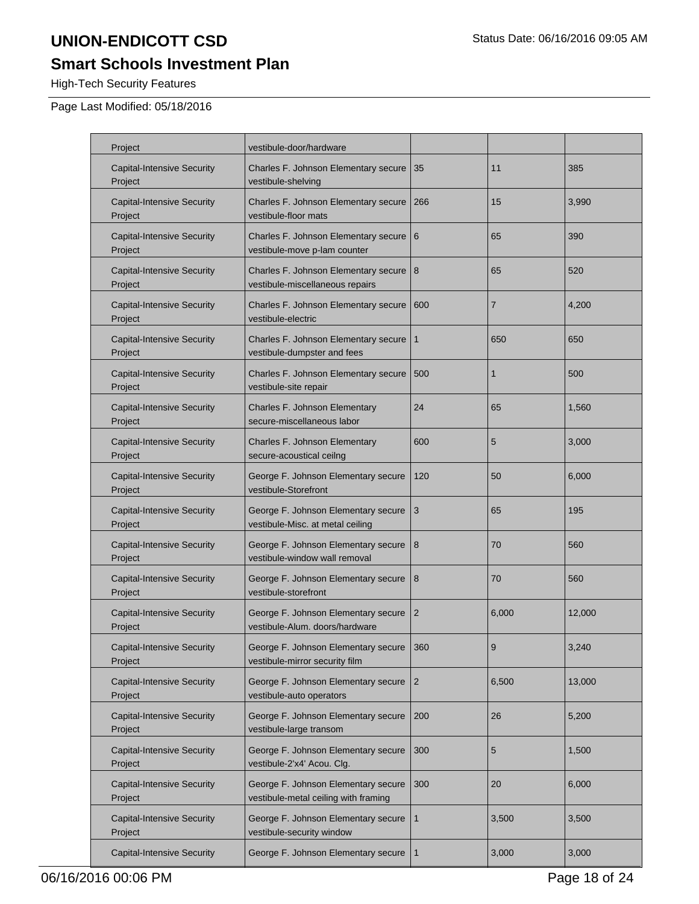# **Smart Schools Investment Plan**

High-Tech Security Features

| Project                                      | vestibule-door/hardware                                                     |                |                |        |
|----------------------------------------------|-----------------------------------------------------------------------------|----------------|----------------|--------|
| <b>Capital-Intensive Security</b><br>Project | Charles F. Johnson Elementary secure<br>vestibule-shelving                  | 35             | 11             | 385    |
| <b>Capital-Intensive Security</b><br>Project | Charles F. Johnson Elementary secure<br>vestibule-floor mats                | 266            | 15             | 3,990  |
| <b>Capital-Intensive Security</b><br>Project | Charles F. Johnson Elementary secure<br>vestibule-move p-lam counter        | 6              | 65             | 390    |
| <b>Capital-Intensive Security</b><br>Project | Charles F. Johnson Elementary secure<br>vestibule-miscellaneous repairs     | 8              | 65             | 520    |
| <b>Capital-Intensive Security</b><br>Project | Charles F. Johnson Elementary secure<br>vestibule-electric                  | 600            | $\overline{7}$ | 4,200  |
| <b>Capital-Intensive Security</b><br>Project | Charles F. Johnson Elementary secure<br>vestibule-dumpster and fees         | 1              | 650            | 650    |
| <b>Capital-Intensive Security</b><br>Project | Charles F. Johnson Elementary secure<br>vestibule-site repair               | 500            | 1              | 500    |
| <b>Capital-Intensive Security</b><br>Project | Charles F. Johnson Elementary<br>secure-miscellaneous labor                 | 24             | 65             | 1,560  |
| <b>Capital-Intensive Security</b><br>Project | Charles F. Johnson Elementary<br>secure-acoustical ceilng                   | 600            | 5              | 3,000  |
| <b>Capital-Intensive Security</b><br>Project | George F. Johnson Elementary secure<br>vestibule-Storefront                 | 120            | 50             | 6,000  |
| <b>Capital-Intensive Security</b><br>Project | George F. Johnson Elementary secure<br>vestibule-Misc. at metal ceiling     | 3              | 65             | 195    |
| <b>Capital-Intensive Security</b><br>Project | George F. Johnson Elementary secure<br>vestibule-window wall removal        | 8              | 70             | 560    |
| <b>Capital-Intensive Security</b><br>Project | George F. Johnson Elementary secure<br>vestibule-storefront                 | 8              | 70             | 560    |
| <b>Capital-Intensive Security</b><br>Project | George F. Johnson Elementary secure<br>vestibule-Alum. doors/hardware       | 2              | 6,000          | 12,000 |
| <b>Capital-Intensive Security</b><br>Project | George F. Johnson Elementary secure<br>vestibule-mirror security film       | 360            | 9              | 3,240  |
| <b>Capital-Intensive Security</b><br>Project | George F. Johnson Elementary secure<br>vestibule-auto operators             | $\overline{2}$ | 6,500          | 13,000 |
| <b>Capital-Intensive Security</b><br>Project | George F. Johnson Elementary secure<br>vestibule-large transom              | 200            | 26             | 5,200  |
| <b>Capital-Intensive Security</b><br>Project | George F. Johnson Elementary secure<br>vestibule-2'x4' Acou. Clg.           | 300            | 5              | 1,500  |
| <b>Capital-Intensive Security</b><br>Project | George F. Johnson Elementary secure<br>vestibule-metal ceiling with framing | 300            | 20             | 6,000  |
| <b>Capital-Intensive Security</b><br>Project | George F. Johnson Elementary secure<br>vestibule-security window            | 1              | 3,500          | 3,500  |
| <b>Capital-Intensive Security</b>            | George F. Johnson Elementary secure                                         | 1              | 3,000          | 3,000  |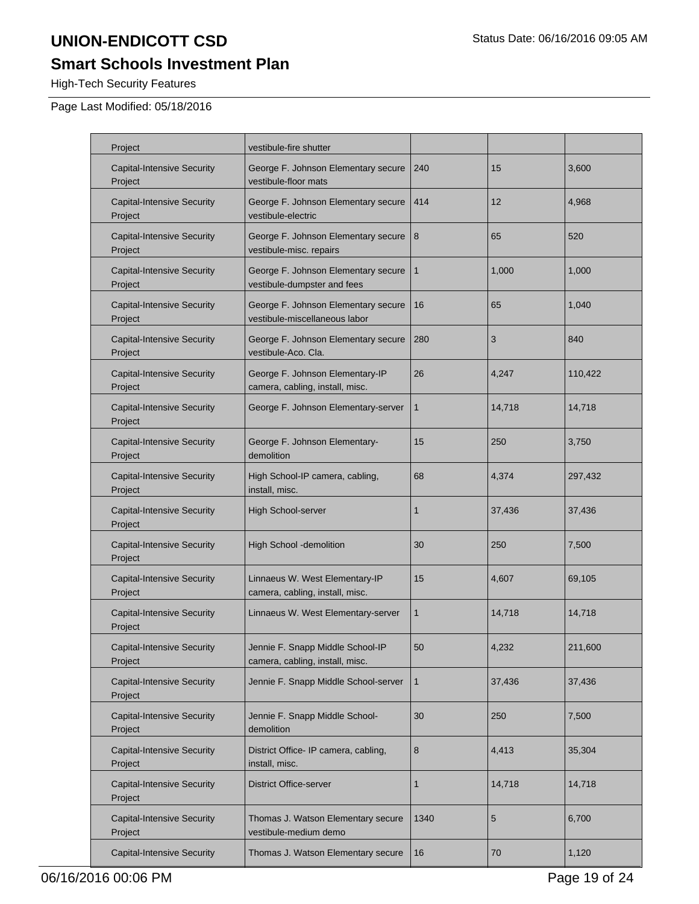# **Smart Schools Investment Plan**

High-Tech Security Features

| Project                                      | vestibule-fire shutter                                               |              |        |         |
|----------------------------------------------|----------------------------------------------------------------------|--------------|--------|---------|
| <b>Capital-Intensive Security</b><br>Project | George F. Johnson Elementary secure<br>vestibule-floor mats          | 240          | 15     | 3,600   |
| <b>Capital-Intensive Security</b><br>Project | George F. Johnson Elementary secure<br>vestibule-electric            | 414          | 12     | 4,968   |
| <b>Capital-Intensive Security</b><br>Project | George F. Johnson Elementary secure<br>vestibule-misc. repairs       | 8            | 65     | 520     |
| <b>Capital-Intensive Security</b><br>Project | George F. Johnson Elementary secure<br>vestibule-dumpster and fees   | 1            | 1,000  | 1,000   |
| <b>Capital-Intensive Security</b><br>Project | George F. Johnson Elementary secure<br>vestibule-miscellaneous labor | 16           | 65     | 1,040   |
| <b>Capital-Intensive Security</b><br>Project | George F. Johnson Elementary secure<br>vestibule-Aco. Cla.           | 280          | 3      | 840     |
| <b>Capital-Intensive Security</b><br>Project | George F. Johnson Elementary-IP<br>camera, cabling, install, misc.   | 26           | 4,247  | 110,422 |
| <b>Capital-Intensive Security</b><br>Project | George F. Johnson Elementary-server                                  | 1            | 14,718 | 14,718  |
| <b>Capital-Intensive Security</b><br>Project | George F. Johnson Elementary-<br>demolition                          | 15           | 250    | 3,750   |
| <b>Capital-Intensive Security</b><br>Project | High School-IP camera, cabling,<br>install, misc.                    | 68           | 4,374  | 297,432 |
| <b>Capital-Intensive Security</b><br>Project | High School-server                                                   | 1            | 37,436 | 37,436  |
| <b>Capital-Intensive Security</b><br>Project | High School -demolition                                              | 30           | 250    | 7,500   |
| <b>Capital-Intensive Security</b><br>Project | Linnaeus W. West Elementary-IP<br>camera, cabling, install, misc.    | 15           | 4,607  | 69,105  |
| <b>Capital-Intensive Security</b><br>Project | Linnaeus W. West Elementary-server                                   | 1            | 14,718 | 14,718  |
| <b>Capital-Intensive Security</b><br>Project | Jennie F. Snapp Middle School-IP<br>camera, cabling, install, misc.  | 50           | 4,232  | 211,600 |
| <b>Capital-Intensive Security</b><br>Project | Jennie F. Snapp Middle School-server                                 | $\mathbf{1}$ | 37,436 | 37,436  |
| <b>Capital-Intensive Security</b><br>Project | Jennie F. Snapp Middle School-<br>demolition                         | 30           | 250    | 7,500   |
| <b>Capital-Intensive Security</b><br>Project | District Office- IP camera, cabling,<br>install, misc.               | 8            | 4,413  | 35,304  |
| <b>Capital-Intensive Security</b><br>Project | <b>District Office-server</b>                                        | 1            | 14,718 | 14,718  |
| <b>Capital-Intensive Security</b><br>Project | Thomas J. Watson Elementary secure<br>vestibule-medium demo          | 1340         | 5      | 6,700   |
| <b>Capital-Intensive Security</b>            | Thomas J. Watson Elementary secure                                   | 16           | 70     | 1,120   |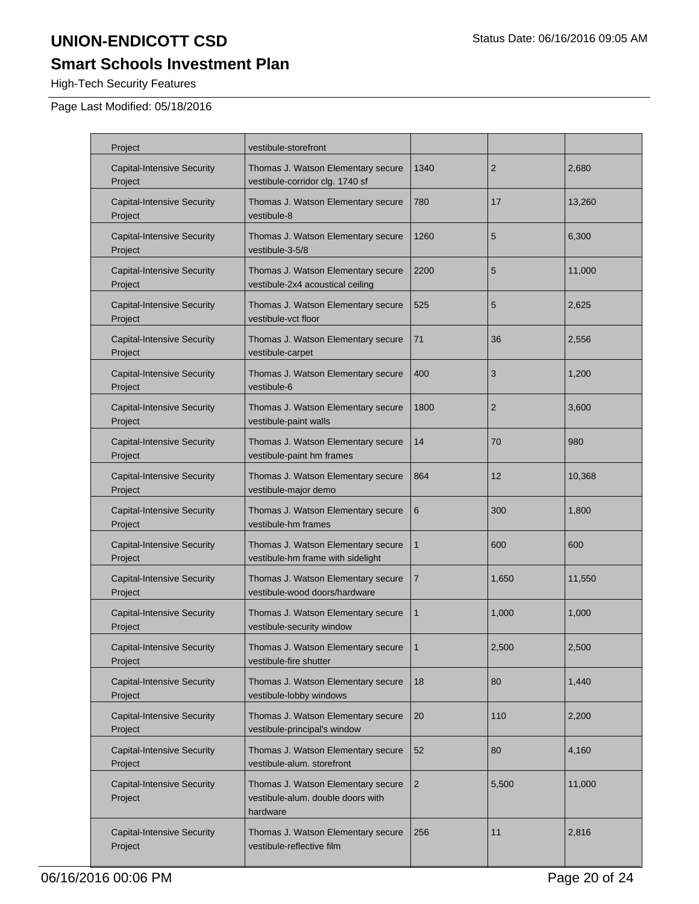# **Smart Schools Investment Plan**

High-Tech Security Features

| Project                                      | vestibule-storefront                                                                |                |                |        |
|----------------------------------------------|-------------------------------------------------------------------------------------|----------------|----------------|--------|
| <b>Capital-Intensive Security</b><br>Project | Thomas J. Watson Elementary secure<br>vestibule-corridor clg. 1740 sf               | 1340           | $\overline{2}$ | 2,680  |
| <b>Capital-Intensive Security</b><br>Project | Thomas J. Watson Elementary secure<br>vestibule-8                                   | 780            | 17             | 13,260 |
| <b>Capital-Intensive Security</b><br>Project | Thomas J. Watson Elementary secure<br>vestibule-3-5/8                               | 1260           | 5              | 6,300  |
| <b>Capital-Intensive Security</b><br>Project | Thomas J. Watson Elementary secure<br>vestibule-2x4 acoustical ceiling              | 2200           | 5              | 11,000 |
| <b>Capital-Intensive Security</b><br>Project | Thomas J. Watson Elementary secure<br>vestibule-vct floor                           | 525            | 5              | 2,625  |
| <b>Capital-Intensive Security</b><br>Project | Thomas J. Watson Elementary secure<br>vestibule-carpet                              | 71             | 36             | 2,556  |
| <b>Capital-Intensive Security</b><br>Project | Thomas J. Watson Elementary secure<br>vestibule-6                                   | 400            | 3              | 1,200  |
| <b>Capital-Intensive Security</b><br>Project | Thomas J. Watson Elementary secure<br>vestibule-paint walls                         | 1800           | $\overline{2}$ | 3,600  |
| <b>Capital-Intensive Security</b><br>Project | Thomas J. Watson Elementary secure<br>vestibule-paint hm frames                     | 14             | 70             | 980    |
| <b>Capital-Intensive Security</b><br>Project | Thomas J. Watson Elementary secure<br>vestibule-major demo                          | 864            | 12             | 10,368 |
| <b>Capital-Intensive Security</b><br>Project | Thomas J. Watson Elementary secure<br>vestibule-hm frames                           | 6              | 300            | 1,800  |
| <b>Capital-Intensive Security</b><br>Project | Thomas J. Watson Elementary secure<br>vestibule-hm frame with sidelight             | $\mathbf{1}$   | 600            | 600    |
| <b>Capital-Intensive Security</b><br>Project | Thomas J. Watson Elementary secure<br>vestibule-wood doors/hardware                 | $\overline{7}$ | 1,650          | 11,550 |
| <b>Capital-Intensive Security</b><br>Project | Thomas J. Watson Elementary secure<br>vestibule-security window                     | $\mathbf{1}$   | 1.000          | 1.000  |
| <b>Capital-Intensive Security</b><br>Project | Thomas J. Watson Elementary secure<br>vestibule-fire shutter                        |                | 2,500          | 2,500  |
| <b>Capital-Intensive Security</b><br>Project | Thomas J. Watson Elementary secure<br>vestibule-lobby windows                       | 18             | 80             | 1,440  |
| <b>Capital-Intensive Security</b><br>Project | Thomas J. Watson Elementary secure<br>vestibule-principal's window                  | 20             | 110            | 2,200  |
| <b>Capital-Intensive Security</b><br>Project | Thomas J. Watson Elementary secure<br>vestibule-alum. storefront                    | 52             | 80             | 4,160  |
| <b>Capital-Intensive Security</b><br>Project | Thomas J. Watson Elementary secure<br>vestibule-alum. double doors with<br>hardware | $\overline{2}$ | 5,500          | 11,000 |
| <b>Capital-Intensive Security</b><br>Project | Thomas J. Watson Elementary secure<br>vestibule-reflective film                     | 256            | 11             | 2,816  |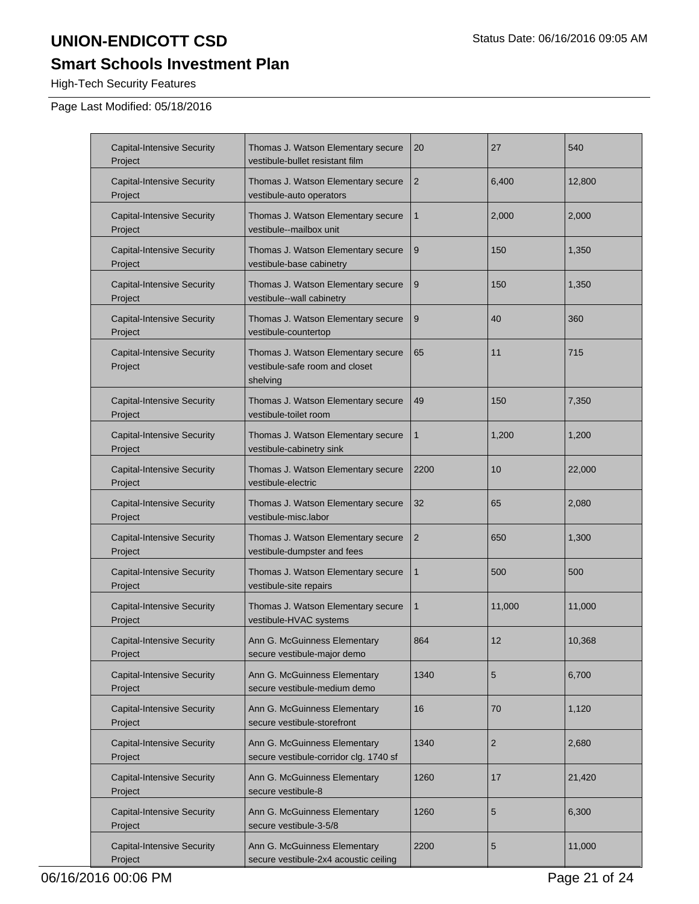# **Smart Schools Investment Plan**

High-Tech Security Features

| <b>Capital-Intensive Security</b><br>Project | Thomas J. Watson Elementary secure<br>vestibule-bullet resistant film            | 20             | 27             | 540    |
|----------------------------------------------|----------------------------------------------------------------------------------|----------------|----------------|--------|
| <b>Capital-Intensive Security</b><br>Project | Thomas J. Watson Elementary secure<br>vestibule-auto operators                   | 2              | 6,400          | 12,800 |
| <b>Capital-Intensive Security</b><br>Project | Thomas J. Watson Elementary secure<br>vestibule--mailbox unit                    | $\mathbf{1}$   | 2,000          | 2,000  |
| <b>Capital-Intensive Security</b><br>Project | Thomas J. Watson Elementary secure<br>vestibule-base cabinetry                   | 9              | 150            | 1,350  |
| <b>Capital-Intensive Security</b><br>Project | Thomas J. Watson Elementary secure<br>vestibule--wall cabinetry                  | 9              | 150            | 1,350  |
| <b>Capital-Intensive Security</b><br>Project | Thomas J. Watson Elementary secure<br>vestibule-countertop                       | 9              | 40             | 360    |
| <b>Capital-Intensive Security</b><br>Project | Thomas J. Watson Elementary secure<br>vestibule-safe room and closet<br>shelving | 65             | 11             | 715    |
| <b>Capital-Intensive Security</b><br>Project | Thomas J. Watson Elementary secure<br>vestibule-toilet room                      | 49             | 150            | 7,350  |
| <b>Capital-Intensive Security</b><br>Project | Thomas J. Watson Elementary secure<br>vestibule-cabinetry sink                   | 1              | 1,200          | 1,200  |
| <b>Capital-Intensive Security</b><br>Project | Thomas J. Watson Elementary secure<br>vestibule-electric                         | 2200           | 10             | 22,000 |
| <b>Capital-Intensive Security</b><br>Project | Thomas J. Watson Elementary secure<br>vestibule-misc.labor                       | 32             | 65             | 2,080  |
| <b>Capital-Intensive Security</b><br>Project | Thomas J. Watson Elementary secure<br>vestibule-dumpster and fees                | $\overline{2}$ | 650            | 1,300  |
| <b>Capital-Intensive Security</b><br>Project | Thomas J. Watson Elementary secure<br>vestibule-site repairs                     | $\mathbf{1}$   | 500            | 500    |
| <b>Capital-Intensive Security</b><br>Project | Thomas J. Watson Elementary secure<br>vestibule-HVAC systems                     | $\mathbf{1}$   | 11,000         | 11,000 |
| Capital-Intensive Security<br>Project        | Ann G. McGuinness Elementary<br>secure vestibule-major demo                      | 864            | 12             | 10,368 |
| <b>Capital-Intensive Security</b><br>Project | Ann G. McGuinness Elementary<br>secure vestibule-medium demo                     | 1340           | 5              | 6,700  |
| <b>Capital-Intensive Security</b><br>Project | Ann G. McGuinness Elementary<br>secure vestibule-storefront                      | 16             | 70             | 1,120  |
| <b>Capital-Intensive Security</b><br>Project | Ann G. McGuinness Elementary<br>secure vestibule-corridor clg. 1740 sf           | 1340           | $\overline{2}$ | 2,680  |
| <b>Capital-Intensive Security</b><br>Project | Ann G. McGuinness Elementary<br>secure vestibule-8                               | 1260           | 17             | 21,420 |
| <b>Capital-Intensive Security</b><br>Project | Ann G. McGuinness Elementary<br>secure vestibule-3-5/8                           | 1260           | 5              | 6,300  |
| <b>Capital-Intensive Security</b><br>Project | Ann G. McGuinness Elementary<br>secure vestibule-2x4 acoustic ceiling            | 2200           | 5              | 11,000 |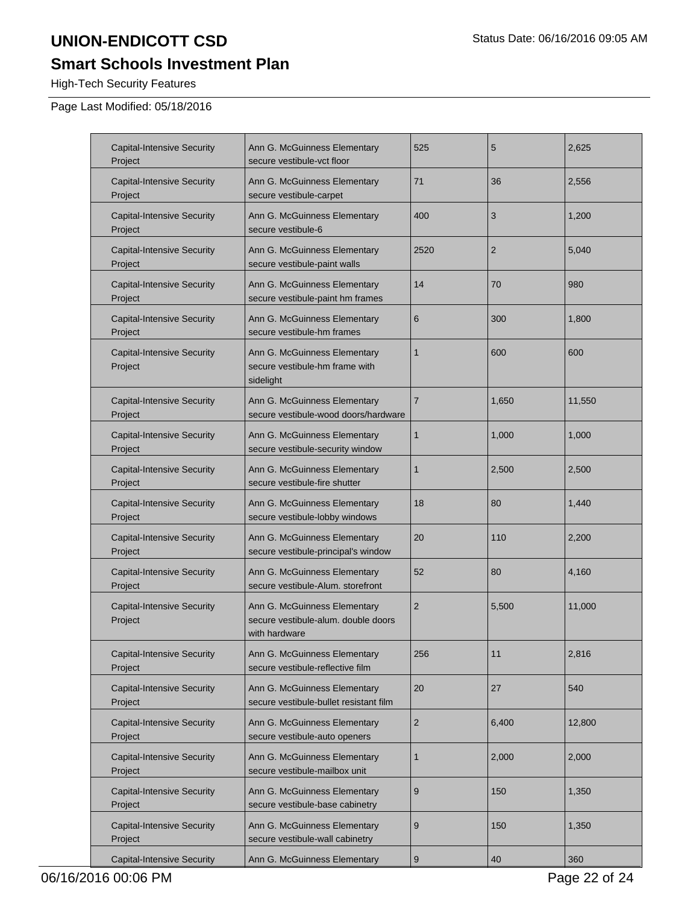# **Smart Schools Investment Plan**

High-Tech Security Features

| <b>Capital-Intensive Security</b><br>Project | Ann G. McGuinness Elementary<br>secure vestibule-vct floor                           | 525              | 5              | 2,625  |
|----------------------------------------------|--------------------------------------------------------------------------------------|------------------|----------------|--------|
| <b>Capital-Intensive Security</b><br>Project | Ann G. McGuinness Elementary<br>secure vestibule-carpet                              | 71               | 36             | 2,556  |
| <b>Capital-Intensive Security</b><br>Project | Ann G. McGuinness Elementary<br>secure vestibule-6                                   | 400              | 3              | 1,200  |
| <b>Capital-Intensive Security</b><br>Project | Ann G. McGuinness Elementary<br>secure vestibule-paint walls                         | 2520             | $\overline{2}$ | 5,040  |
| <b>Capital-Intensive Security</b><br>Project | Ann G. McGuinness Elementary<br>secure vestibule-paint hm frames                     | 14               | 70             | 980    |
| <b>Capital-Intensive Security</b><br>Project | Ann G. McGuinness Elementary<br>secure vestibule-hm frames                           | 6                | 300            | 1,800  |
| <b>Capital-Intensive Security</b><br>Project | Ann G. McGuinness Elementary<br>secure vestibule-hm frame with<br>sidelight          | $\mathbf{1}$     | 600            | 600    |
| <b>Capital-Intensive Security</b><br>Project | Ann G. McGuinness Elementary<br>secure vestibule-wood doors/hardware                 | 7                | 1.650          | 11,550 |
| <b>Capital-Intensive Security</b><br>Project | Ann G. McGuinness Elementary<br>secure vestibule-security window                     | 1                | 1,000          | 1,000  |
| <b>Capital-Intensive Security</b><br>Project | Ann G. McGuinness Elementary<br>secure vestibule-fire shutter                        | 1                | 2,500          | 2,500  |
| <b>Capital-Intensive Security</b><br>Project | Ann G. McGuinness Elementary<br>secure vestibule-lobby windows                       | 18               | 80             | 1,440  |
| <b>Capital-Intensive Security</b><br>Project | Ann G. McGuinness Elementary<br>secure vestibule-principal's window                  | 20               | 110            | 2,200  |
| <b>Capital-Intensive Security</b><br>Project | Ann G. McGuinness Elementary<br>secure vestibule-Alum, storefront                    | 52               | 80             | 4,160  |
| <b>Capital-Intensive Security</b><br>Project | Ann G. McGuinness Elementary<br>secure vestibule-alum, double doors<br>with hardware | $\overline{2}$   | 5,500          | 11,000 |
| <b>Capital-Intensive Security</b><br>Project | Ann G. McGuinness Elementary<br>secure vestibule-reflective film                     | 256              | 11             | 2,816  |
| <b>Capital-Intensive Security</b><br>Project | Ann G. McGuinness Elementary<br>secure vestibule-bullet resistant film               | 20               | 27             | 540    |
| <b>Capital-Intensive Security</b><br>Project | Ann G. McGuinness Elementary<br>secure vestibule-auto openers                        | $\overline{2}$   | 6,400          | 12,800 |
| <b>Capital-Intensive Security</b><br>Project | Ann G. McGuinness Elementary<br>secure vestibule-mailbox unit                        | 1                | 2,000          | 2,000  |
| <b>Capital-Intensive Security</b><br>Project | Ann G. McGuinness Elementary<br>secure vestibule-base cabinetry                      | 9                | 150            | 1,350  |
| <b>Capital-Intensive Security</b><br>Project | Ann G. McGuinness Elementary<br>secure vestibule-wall cabinetry                      | $\boldsymbol{9}$ | 150            | 1,350  |
| <b>Capital-Intensive Security</b>            | Ann G. McGuinness Elementary                                                         | 9                | 40             | 360    |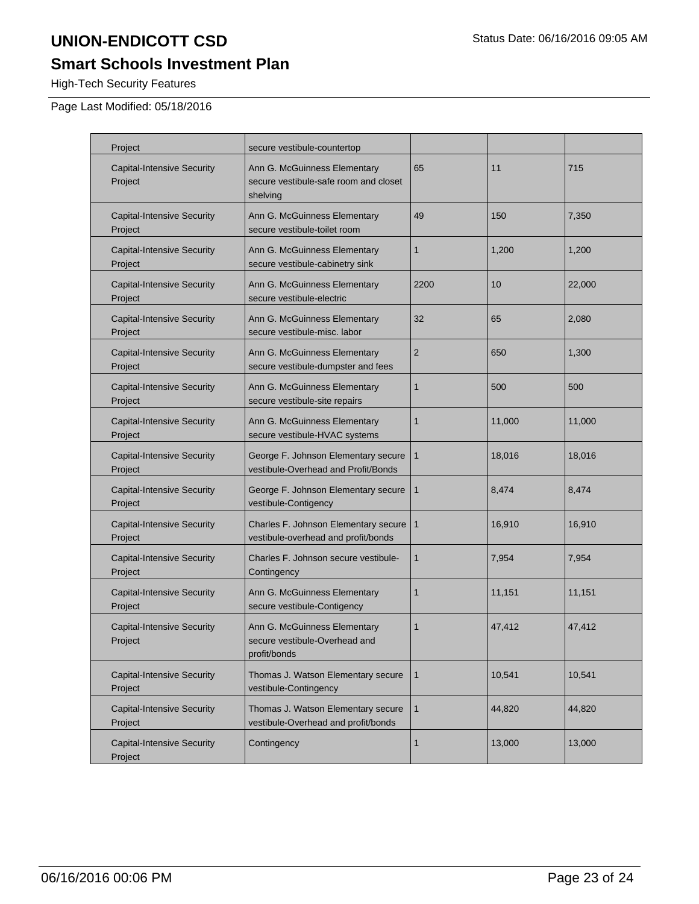# **Smart Schools Investment Plan**

High-Tech Security Features

| Project                                      | secure vestibule-countertop                                                       |                |        |        |
|----------------------------------------------|-----------------------------------------------------------------------------------|----------------|--------|--------|
| <b>Capital-Intensive Security</b><br>Project | Ann G. McGuinness Elementary<br>secure vestibule-safe room and closet<br>shelving | 65             | 11     | 715    |
| <b>Capital-Intensive Security</b><br>Project | Ann G. McGuinness Elementary<br>secure vestibule-toilet room                      | 49             | 150    | 7,350  |
| <b>Capital-Intensive Security</b><br>Project | Ann G. McGuinness Elementary<br>secure vestibule-cabinetry sink                   | $\mathbf{1}$   | 1,200  | 1,200  |
| <b>Capital-Intensive Security</b><br>Project | Ann G. McGuinness Elementary<br>secure vestibule-electric                         | 2200           | 10     | 22,000 |
| <b>Capital-Intensive Security</b><br>Project | Ann G. McGuinness Elementary<br>secure vestibule-misc. labor                      | 32             | 65     | 2,080  |
| <b>Capital-Intensive Security</b><br>Project | Ann G. McGuinness Elementary<br>secure vestibule-dumpster and fees                | $\overline{2}$ | 650    | 1,300  |
| <b>Capital-Intensive Security</b><br>Project | Ann G. McGuinness Elementary<br>secure vestibule-site repairs                     | 1              | 500    | 500    |
| <b>Capital-Intensive Security</b><br>Project | Ann G. McGuinness Elementary<br>secure vestibule-HVAC systems                     | 1              | 11,000 | 11,000 |
| <b>Capital-Intensive Security</b><br>Project | George F. Johnson Elementary secure<br>vestibule-Overhead and Profit/Bonds        | $\mathbf{1}$   | 18,016 | 18,016 |
| <b>Capital-Intensive Security</b><br>Project | George F. Johnson Elementary secure<br>vestibule-Contigency                       | $\mathbf{1}$   | 8,474  | 8,474  |
| <b>Capital-Intensive Security</b><br>Project | Charles F. Johnson Elementary secure<br>vestibule-overhead and profit/bonds       | $\mathbf{1}$   | 16,910 | 16,910 |
| <b>Capital-Intensive Security</b><br>Project | Charles F. Johnson secure vestibule-<br>Contingency                               | 1              | 7,954  | 7,954  |
| <b>Capital-Intensive Security</b><br>Project | Ann G. McGuinness Elementary<br>secure vestibule-Contigency                       | 1              | 11,151 | 11,151 |
| <b>Capital-Intensive Security</b><br>Project | Ann G. McGuinness Elementary<br>secure vestibule-Overhead and<br>profit/bonds     | 1              | 47,412 | 47,412 |
| <b>Capital-Intensive Security</b><br>Project | Thomas J. Watson Elementary secure<br>vestibule-Contingency                       | $\mathbf{1}$   | 10,541 | 10,541 |
| <b>Capital-Intensive Security</b><br>Project | Thomas J. Watson Elementary secure<br>vestibule-Overhead and profit/bonds         | $\mathbf{1}$   | 44,820 | 44,820 |
| <b>Capital-Intensive Security</b><br>Project | Contingency                                                                       | 1              | 13,000 | 13,000 |